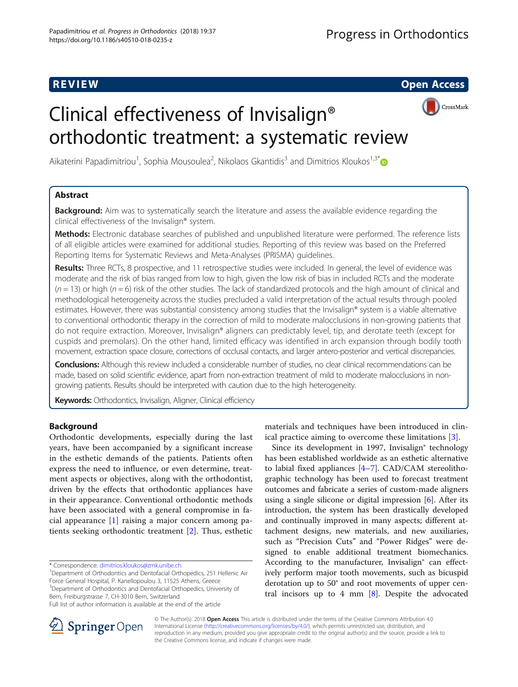R EVI EW Open Access

CrossMark

# Clinical effectiveness of Invisalign® orthodontic treatment: a systematic review

Aikaterini Papadimitriou<sup>1</sup>, Sophia Mousoulea<sup>2</sup>, Nikolaos Gkantidis<sup>3</sup> and Dimitrios Kloukos<sup>1,3[\\*](http://orcid.org/0000-0002-0665-238X)</sup>

## Abstract

Background: Aim was to systematically search the literature and assess the available evidence regarding the clinical effectiveness of the Invisalign® system.

Methods: Electronic database searches of published and unpublished literature were performed. The reference lists of all eligible articles were examined for additional studies. Reporting of this review was based on the Preferred Reporting Items for Systematic Reviews and Meta-Analyses (PRISMA) guidelines.

Results: Three RCTs, 8 prospective, and 11 retrospective studies were included. In general, the level of evidence was moderate and the risk of bias ranged from low to high, given the low risk of bias in included RCTs and the moderate  $(n = 13)$  or high  $(n = 6)$  risk of the other studies. The lack of standardized protocols and the high amount of clinical and methodological heterogeneity across the studies precluded a valid interpretation of the actual results through pooled estimates. However, there was substantial consistency among studies that the Invisalign® system is a viable alternative to conventional orthodontic therapy in the correction of mild to moderate malocclusions in non-growing patients that do not require extraction. Moreover, Invisalign® aligners can predictably level, tip, and derotate teeth (except for cuspids and premolars). On the other hand, limited efficacy was identified in arch expansion through bodily tooth movement, extraction space closure, corrections of occlusal contacts, and larger antero-posterior and vertical discrepancies.

Conclusions: Although this review included a considerable number of studies, no clear clinical recommendations can be made, based on solid scientific evidence, apart from non-extraction treatment of mild to moderate malocclusions in nongrowing patients. Results should be interpreted with caution due to the high heterogeneity.

**Keywords:** Orthodontics, Invisalign, Aligner, Clinical efficiency

## Background

Orthodontic developments, especially during the last years, have been accompanied by a significant increase in the esthetic demands of the patients. Patients often express the need to influence, or even determine, treatment aspects or objectives, along with the orthodontist, driven by the effects that orthodontic appliances have in their appearance. Conventional orthodontic methods have been associated with a general compromise in facial appearance [\[1](#page-22-0)] raising a major concern among patients seeking orthodontic treatment [[2\]](#page-22-0). Thus, esthetic

\* Correspondence: [dimitrios.kloukos@zmk.unibe.ch](mailto:dimitrios.kloukos@zmk.unibe.ch) <sup>1</sup>

<sup>1</sup>Department of Orthodontics and Dentofacial Orthopedics, 251 Hellenic Air Force General Hospital, P. Kanellopoulou 3, 11525 Athens, Greece <sup>3</sup>Department of Orthodontics and Dentofacial Orthopedics, University of Bern, Freiburgstrasse 7, CH-3010 Bern, Switzerland

Full list of author information is available at the end of the article

materials and techniques have been introduced in clinical practice aiming to overcome these limitations [[3](#page-22-0)].

Since its development in 1997, Invisalign<sup>®</sup> technology has been established worldwide as an esthetic alternative to labial fixed appliances [\[4](#page-22-0)–[7](#page-22-0)]. CAD/CAM stereolithographic technology has been used to forecast treatment outcomes and fabricate a series of custom-made aligners using a single silicone or digital impression  $[6]$  $[6]$ . After its introduction, the system has been drastically developed and continually improved in many aspects; different attachment designs, new materials, and new auxiliaries, such as "Precision Cuts" and "Power Ridges" were designed to enable additional treatment biomechanics. According to the manufacturer, Invisalign® can effectively perform major tooth movements, such as bicuspid derotation up to 50° and root movements of upper central incisors up to 4 mm  $[8]$  $[8]$ . Despite the advocated



© The Author(s). 2018 Open Access This article is distributed under the terms of the Creative Commons Attribution 4.0 International License ([http://creativecommons.org/licenses/by/4.0/\)](http://creativecommons.org/licenses/by/4.0/), which permits unrestricted use, distribution, and reproduction in any medium, provided you give appropriate credit to the original author(s) and the source, provide a link to the Creative Commons license, and indicate if changes were made.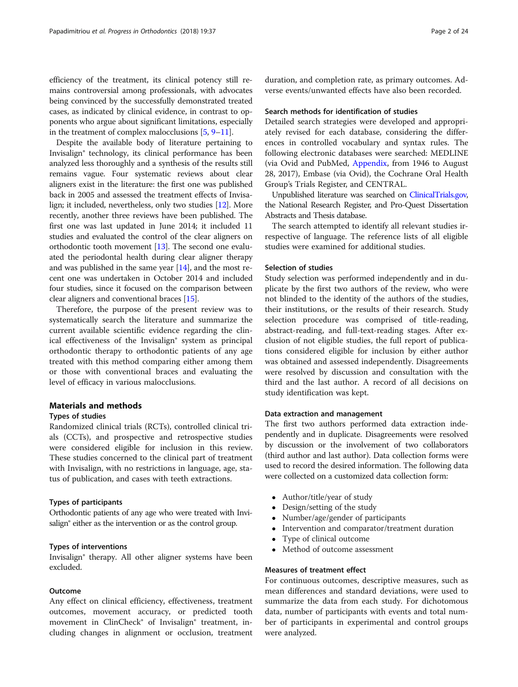efficiency of the treatment, its clinical potency still remains controversial among professionals, with advocates being convinced by the successfully demonstrated treated cases, as indicated by clinical evidence, in contrast to opponents who argue about significant limitations, especially in the treatment of complex malocclusions [\[5](#page-22-0), [9](#page-22-0)–[11](#page-22-0)].

Despite the available body of literature pertaining to Invisalign® technology, its clinical performance has been analyzed less thoroughly and a synthesis of the results still remains vague. Four systematic reviews about clear aligners exist in the literature: the first one was published back in 2005 and assessed the treatment effects of Invisalign; it included, nevertheless, only two studies [[12](#page-22-0)]. More recently, another three reviews have been published. The first one was last updated in June 2014; it included 11 studies and evaluated the control of the clear aligners on orthodontic tooth movement [\[13](#page-22-0)]. The second one evaluated the periodontal health during clear aligner therapy and was published in the same year [[14](#page-22-0)], and the most recent one was undertaken in October 2014 and included four studies, since it focused on the comparison between clear aligners and conventional braces [\[15\]](#page-22-0).

Therefore, the purpose of the present review was to systematically search the literature and summarize the current available scientific evidence regarding the clinical effectiveness of the Invisalign® system as principal orthodontic therapy to orthodontic patients of any age treated with this method comparing either among them or those with conventional braces and evaluating the level of efficacy in various malocclusions.

## Materials and methods

## Types of studies

Randomized clinical trials (RCTs), controlled clinical trials (CCTs), and prospective and retrospective studies were considered eligible for inclusion in this review. These studies concerned to the clinical part of treatment with Invisalign, with no restrictions in language, age, status of publication, and cases with teeth extractions.

## Types of participants

Orthodontic patients of any age who were treated with Invisalign<sup>®</sup> either as the intervention or as the control group.

## Types of interventions

Invisalign® therapy. All other aligner systems have been excluded.

## **Outcome**

Any effect on clinical efficiency, effectiveness, treatment outcomes, movement accuracy, or predicted tooth movement in ClinCheck<sup>®</sup> of Invisalign<sup>®</sup> treatment, including changes in alignment or occlusion, treatment

duration, and completion rate, as primary outcomes. Adverse events/unwanted effects have also been recorded.

## Search methods for identification of studies

Detailed search strategies were developed and appropriately revised for each database, considering the differences in controlled vocabulary and syntax rules. The following electronic databases were searched: MEDLINE (via Ovid and PubMed, Appendix, from 1946 to August 28, 2017), Embase (via Ovid), the Cochrane Oral Health Group's Trials Register, and CENTRAL.

Unpublished literature was searched on [ClinicalTrials.gov,](http://clinicaltrials.gov) the National Research Register, and Pro-Quest Dissertation Abstracts and Thesis database.

The search attempted to identify all relevant studies irrespective of language. The reference lists of all eligible studies were examined for additional studies.

## Selection of studies

Study selection was performed independently and in duplicate by the first two authors of the review, who were not blinded to the identity of the authors of the studies, their institutions, or the results of their research. Study selection procedure was comprised of title-reading, abstract-reading, and full-text-reading stages. After exclusion of not eligible studies, the full report of publications considered eligible for inclusion by either author was obtained and assessed independently. Disagreements were resolved by discussion and consultation with the third and the last author. A record of all decisions on study identification was kept.

#### Data extraction and management

The first two authors performed data extraction independently and in duplicate. Disagreements were resolved by discussion or the involvement of two collaborators (third author and last author). Data collection forms were used to record the desired information. The following data were collected on a customized data collection form:

- Author/title/year of study
- Design/setting of the study
- Number/age/gender of participants<br>• Intervention and comparator/treatn
- Intervention and comparator/treatment duration
- Type of clinical outcome
- Method of outcome assessment

## Measures of treatment effect

For continuous outcomes, descriptive measures, such as mean differences and standard deviations, were used to summarize the data from each study. For dichotomous data, number of participants with events and total number of participants in experimental and control groups were analyzed.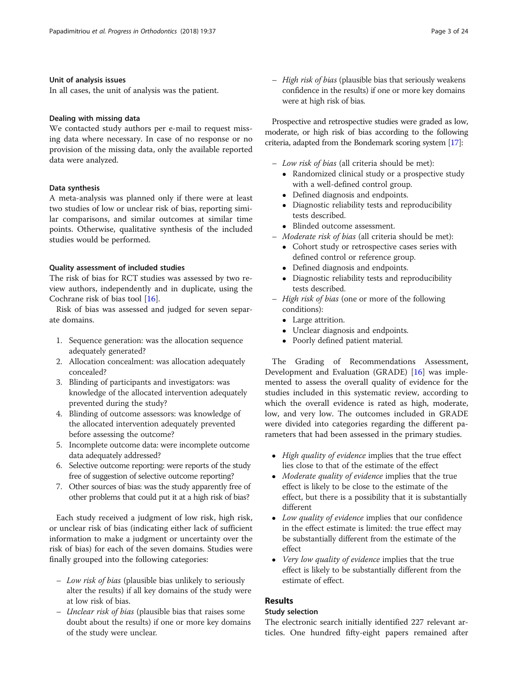## Unit of analysis issues

In all cases, the unit of analysis was the patient.

## Dealing with missing data

We contacted study authors per e-mail to request missing data where necessary. In case of no response or no provision of the missing data, only the available reported data were analyzed.

## Data synthesis

A meta-analysis was planned only if there were at least two studies of low or unclear risk of bias, reporting similar comparisons, and similar outcomes at similar time points. Otherwise, qualitative synthesis of the included studies would be performed.

## Quality assessment of included studies

The risk of bias for RCT studies was assessed by two review authors, independently and in duplicate, using the Cochrane risk of bias tool [\[16\]](#page-22-0).

Risk of bias was assessed and judged for seven separate domains.

- 1. Sequence generation: was the allocation sequence adequately generated?
- 2. Allocation concealment: was allocation adequately concealed?
- 3. Blinding of participants and investigators: was knowledge of the allocated intervention adequately prevented during the study?
- 4. Blinding of outcome assessors: was knowledge of the allocated intervention adequately prevented before assessing the outcome?
- 5. Incomplete outcome data: were incomplete outcome data adequately addressed?
- 6. Selective outcome reporting: were reports of the study free of suggestion of selective outcome reporting?
- 7. Other sources of bias: was the study apparently free of other problems that could put it at a high risk of bias?

Each study received a judgment of low risk, high risk, or unclear risk of bias (indicating either lack of sufficient information to make a judgment or uncertainty over the risk of bias) for each of the seven domains. Studies were finally grouped into the following categories:

- Low risk of bias (plausible bias unlikely to seriously alter the results) if all key domains of the study were at low risk of bias.
- Unclear risk of bias (plausible bias that raises some doubt about the results) if one or more key domains of the study were unclear.

– High risk of bias (plausible bias that seriously weakens confidence in the results) if one or more key domains were at high risk of bias.

Prospective and retrospective studies were graded as low, moderate, or high risk of bias according to the following criteria, adapted from the Bondemark scoring system [\[17\]](#page-22-0):

- Low risk of bias (all criteria should be met):
	- Randomized clinical study or a prospective study with a well-defined control group.
	- Defined diagnosis and endpoints.
	- Diagnostic reliability tests and reproducibility tests described.
	- Blinded outcome assessment.
- Moderate risk of bias (all criteria should be met):
	- Cohort study or retrospective cases series with defined control or reference group.
	- Defined diagnosis and endpoints.
	- Diagnostic reliability tests and reproducibility tests described.
- High risk of bias (one or more of the following conditions):
	- Large attrition.
	- Unclear diagnosis and endpoints.
	- Poorly defined patient material.

The Grading of Recommendations Assessment, Development and Evaluation (GRADE) [[16\]](#page-22-0) was implemented to assess the overall quality of evidence for the studies included in this systematic review, according to which the overall evidence is rated as high, moderate, low, and very low. The outcomes included in GRADE were divided into categories regarding the different parameters that had been assessed in the primary studies.

- High quality of evidence implies that the true effect lies close to that of the estimate of the effect
- Moderate quality of evidence implies that the true effect is likely to be close to the estimate of the effect, but there is a possibility that it is substantially different
- Low quality of evidence implies that our confidence in the effect estimate is limited: the true effect may be substantially different from the estimate of the effect
- Very low quality of evidence implies that the true effect is likely to be substantially different from the estimate of effect.

## Results

## Study selection

The electronic search initially identified 227 relevant articles. One hundred fifty-eight papers remained after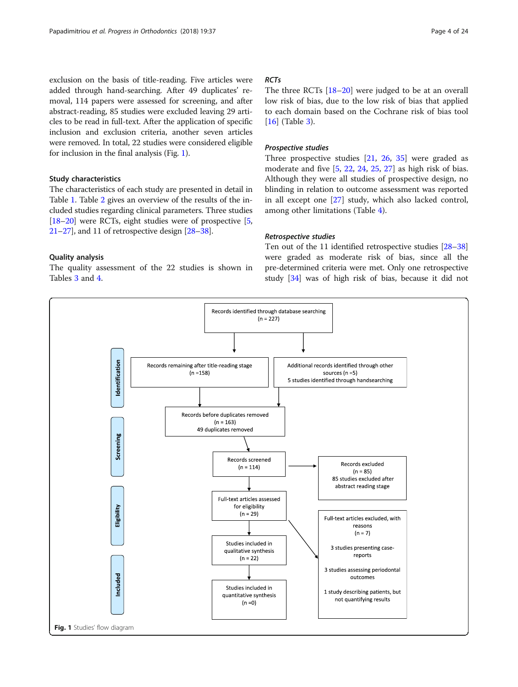exclusion on the basis of title-reading. Five articles were added through hand-searching. After 49 duplicates' removal, 114 papers were assessed for screening, and after abstract-reading, 85 studies were excluded leaving 29 articles to be read in full-text. After the application of specific inclusion and exclusion criteria, another seven articles were removed. In total, 22 studies were considered eligible for inclusion in the final analysis (Fig. 1).

## Study characteristics

The characteristics of each study are presented in detail in Table [1](#page-4-0). Table [2](#page-10-0) gives an overview of the results of the included studies regarding clinical parameters. Three studies [[18](#page-22-0)–[20\]](#page-22-0) were RCTs, eight studies were of prospective [[5](#page-22-0), [21](#page-22-0)–[27\]](#page-23-0), and 11 of retrospective design [\[28](#page-23-0)–[38](#page-23-0)].

## Quality analysis

The quality assessment of the 22 studies is shown in Tables [3](#page-17-0) and [4](#page-18-0).

## **RCTs**

The three RCTs [\[18](#page-22-0)–[20](#page-22-0)] were judged to be at an overall low risk of bias, due to the low risk of bias that applied to each domain based on the Cochrane risk of bias tool [[16\]](#page-22-0) (Table [3](#page-17-0)).

#### Prospective studies

Three prospective studies [[21,](#page-22-0) [26](#page-23-0), [35](#page-23-0)] were graded as moderate and five [[5,](#page-22-0) [22,](#page-22-0) [24](#page-22-0), [25](#page-23-0), [27\]](#page-23-0) as high risk of bias. Although they were all studies of prospective design, no blinding in relation to outcome assessment was reported in all except one [\[27\]](#page-23-0) study, which also lacked control, among other limitations (Table [4\)](#page-18-0).

## Retrospective studies

Ten out of the 11 identified retrospective studies [\[28](#page-23-0)–[38](#page-23-0)] were graded as moderate risk of bias, since all the pre-determined criteria were met. Only one retrospective study [\[34\]](#page-23-0) was of high risk of bias, because it did not

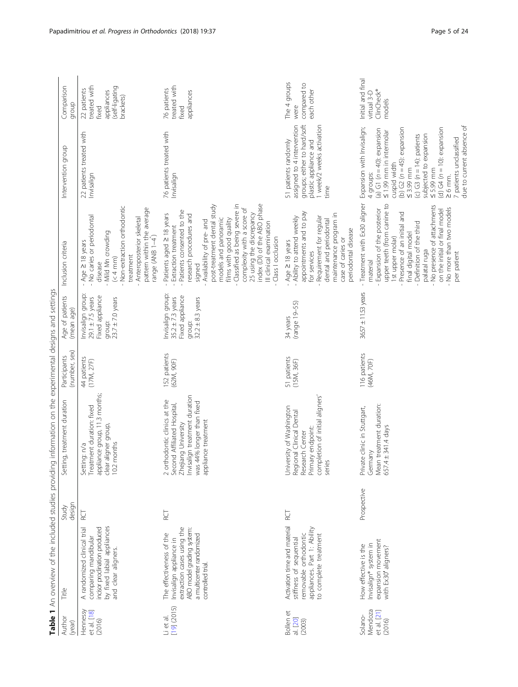<span id="page-4-0"></span>

|                                             |                                                                                                                                                                 |                 | Table 1 An overview of the included studies providing information on the experimental designs and settings                                                              |                               |                                                                                                |                                                                                                                                                                                                                                                                                                                                                                                                                     |                                                                                                                                                                                                                                                                                                                                                                   |                                                                                   |
|---------------------------------------------|-----------------------------------------------------------------------------------------------------------------------------------------------------------------|-----------------|-------------------------------------------------------------------------------------------------------------------------------------------------------------------------|-------------------------------|------------------------------------------------------------------------------------------------|---------------------------------------------------------------------------------------------------------------------------------------------------------------------------------------------------------------------------------------------------------------------------------------------------------------------------------------------------------------------------------------------------------------------|-------------------------------------------------------------------------------------------------------------------------------------------------------------------------------------------------------------------------------------------------------------------------------------------------------------------------------------------------------------------|-----------------------------------------------------------------------------------|
| Author<br>(year)                            | Fite                                                                                                                                                            | design<br>Study | Setting, treatment duration                                                                                                                                             | (number, sex)<br>Participants | Age of patients<br>(mean age)                                                                  | Inclusion criteria                                                                                                                                                                                                                                                                                                                                                                                                  | Intervention group                                                                                                                                                                                                                                                                                                                                                | Comparison<br>group                                                               |
| Hennessy<br>et al. [18]<br>(2016)           | by fixed labial appliances<br>incisor prodination produced<br>A randomized clinical trial<br>comparing mandibular<br>and clear aligners.                        | <b>RCT</b>      | appliance group, 11.3 months;<br>Treatment duration: fixed<br>clear aligner group,<br>10.2 months<br>Setting: n/a                                                       | 44 patients<br>(17M, 27F)     | nvisalign group:<br>Fixed appliance<br>$29.1 \pm 7.5$ years<br>$23.7 \pm 7.0$ years<br>group:  | Non-extraction orthodontic<br>pattern within the average<br>- No caries or periodontal<br>Anteroposterior skeletal<br>- Mild Mn crowding<br>range (ANB 1-4)<br>- Age $\ge$ 18 years<br>treatment<br>(4 m)<br>disease                                                                                                                                                                                                | 22 patients treated with<br>Invisalign                                                                                                                                                                                                                                                                                                                            | treated with<br>(self-ligating<br>22 patients<br>appliances<br>brackets)<br>fixed |
| Li et al.<br>[19] (2015)                    | extraction cases using the<br>ABO model grading system:<br>The effectiveness of the<br>a multicenter randomized<br>Invisalign appliance in<br>controlled trial. | <b>RCT</b>      | Invisalign treatment duration<br>2 orthodontic clinics at the<br>was 44% longer than fixed<br>Second Affiliated Hospital,<br>appliance treatment<br>Zhejiang University | 152 patients<br>(62M, 90F)    | Invisalign group:<br>Fixed appliance<br>$35.2 \pm 7.3$ years<br>$32.2 \pm 8.3$ years<br>group: | index (DI) of the ABO phase<br>Classified as being severe in<br>post-treatment dental study<br>complexity with a score of<br>- Patients consented to the<br>25 using the discrepancy<br>- Patients aged ≥ 18 years<br>research procedures and<br>models and panoramic<br>films with good quality<br>- Availability of pre- and<br>III clinical examination<br>- Extraction treatment<br>Class I occlusion<br>signed | 76 patients treated with<br>Invisalign                                                                                                                                                                                                                                                                                                                            | treated with<br>76 patients<br>appliances<br>fixed                                |
| Bollen et<br>al. [20]<br>(2003)             | Activation time and material<br>appliances. Part 1: Ability<br>removable orthodontic<br>to complete treatment<br>stiffness of sequential                        | <b>RCT</b>      | completion of initial aligners'<br>University of Washington<br>Regional Clinical Dental<br>Primary endpoint:<br>Research Center<br>series                               | 51 patients<br>(15M, 36F)     | (range 19-55)<br>34 years                                                                      | appointments and to pay<br>maintenance program in<br>- Requirement for regular<br>- Ability to attend weekly<br>dental and periodontal<br>periodontal disease<br>case of caries or<br>Age ≥ 18 years<br>for services                                                                                                                                                                                                | groups; either to hard/soft<br>assigned to 4 intervention<br>1 week/2 weeks activation<br>plastic appliance and<br>51 patients randomly<br>time                                                                                                                                                                                                                   | The 4 groups<br>compared to<br>each other<br>were                                 |
| Mendoza<br>et al. [21]<br>Solano-<br>(2016) | expansion movement<br>Invisalign® system in<br>How effective is the<br>with Ex30' aligners?                                                                     | Prospective     | treatment duration:<br>Private clinic in Stuttgart,<br>$±$ 341.4 days<br>Germany<br>Mean<br>657.4                                                                       | 116 patients<br>(46M, 70F)    | $36.57 \pm 11.53$ years                                                                        | - Treatment with Ex30 aligner<br>upper teeth (from canine to<br>- No presence of attachments<br>No more than two models<br>Expansion of the posterior<br>on the initial or final model<br>Presence of an initial and<br>- Definition of the third<br>final digital model<br>1st upper molar)<br>palatal ruga<br>per patient<br>material                                                                             | due to current absence of<br>Expansion with Invisalign;<br>(d) $G4 (n = 10)$ : expansion<br>(b) $G2$ ( $n = 45$ ): expansion<br>(a) $G1$ ( $n = 40$ ): expansion<br>≤ 1.99 mm in intermolar<br>(c) G3 $(n = 14)$ ; patients<br>subjected to expansion<br>7 patients unclassified<br>cuspid width<br>$\leq$ 3.99 mm<br>$\leq$ 5.99 mm<br>4 groups:<br>$\geq 6$ mm. | Initial and final<br>ClinCheck®<br>virtual 3-D<br>models                          |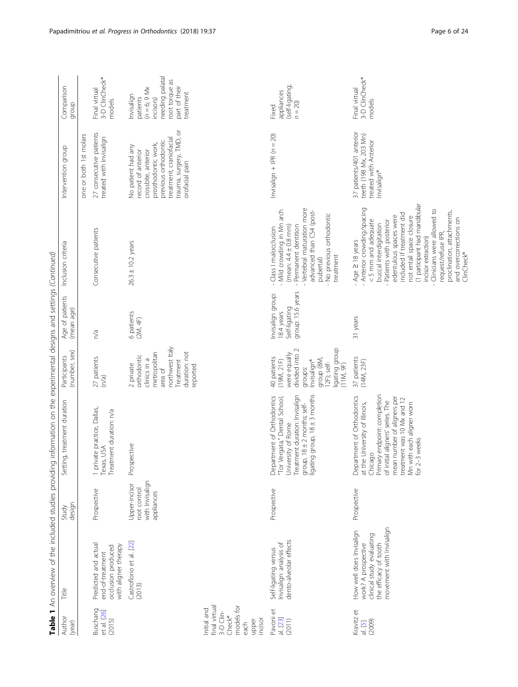|                                                                                               |                                                                                                                                   |                                                                | Table 1 An overview of the included studies providing information on the experimental designs and settings (Continued)                                                                                                                                 |                                                                                                                                                   |                                                                      |                                                                                                                                                                                                                                                                                                                                                                                                |                                                                                                                                                                                         |                                                                                                                         |
|-----------------------------------------------------------------------------------------------|-----------------------------------------------------------------------------------------------------------------------------------|----------------------------------------------------------------|--------------------------------------------------------------------------------------------------------------------------------------------------------------------------------------------------------------------------------------------------------|---------------------------------------------------------------------------------------------------------------------------------------------------|----------------------------------------------------------------------|------------------------------------------------------------------------------------------------------------------------------------------------------------------------------------------------------------------------------------------------------------------------------------------------------------------------------------------------------------------------------------------------|-----------------------------------------------------------------------------------------------------------------------------------------------------------------------------------------|-------------------------------------------------------------------------------------------------------------------------|
| Author<br>(year)                                                                              | Title                                                                                                                             | design<br>Study                                                | Setting, treatment duration                                                                                                                                                                                                                            | (number, sex)<br>Participants                                                                                                                     | Age of patients<br>(mean age)                                        | Inclusion criteria                                                                                                                                                                                                                                                                                                                                                                             | Intervention group                                                                                                                                                                      | Comparison<br>qroup                                                                                                     |
|                                                                                               |                                                                                                                                   |                                                                |                                                                                                                                                                                                                                                        |                                                                                                                                                   |                                                                      |                                                                                                                                                                                                                                                                                                                                                                                                | one or both 1st molars                                                                                                                                                                  |                                                                                                                         |
| Buschang<br>et al. [26]<br>(2015)                                                             | Predicted and actual<br>with aligner therapy<br>occlusion produced<br>end-of-treatment                                            | Prospective                                                    | 1 private practice, Dallas,<br>Treatment duration: n/a<br>Texas, USA                                                                                                                                                                                   | 27 patients<br>(n/a)                                                                                                                              | n/a                                                                  | Consecutive patients                                                                                                                                                                                                                                                                                                                                                                           | 27 consecutive patients<br>treated with Invisalign                                                                                                                                      | 3-D ClinCheck®<br>Final virtual<br>models                                                                               |
|                                                                                               | Castroflorio et al. [22]<br>(2013)                                                                                                | with Invisalign<br>Upper-incisor<br>root control<br>appliances | Prospective                                                                                                                                                                                                                                            | northwest Italy<br>metropolitan<br>duration: not<br>orthodontic<br>clinics in a<br>Treatment<br>2 private<br>reported<br>area of                  | 6 patients<br>(2M, 4F)                                               | $26.3 \pm 10.2$ years                                                                                                                                                                                                                                                                                                                                                                          | trauma, surgery, TMD, or<br>treatment, craniofacial<br>previous orthodontic<br>prosthodontic work,<br>No patient had any<br>record of anterior<br>crossbite, anterior<br>orofacial pain | needing palatal<br>root torque as<br>part of their<br>$(n = 6; 9$ Mx<br>treatment<br>nvisalign<br>patients<br>incisors) |
| final virtual<br>models for<br>Initial and<br>3-D Clin-<br>Check®<br>incisor<br>upper<br>each |                                                                                                                                   |                                                                |                                                                                                                                                                                                                                                        |                                                                                                                                                   |                                                                      |                                                                                                                                                                                                                                                                                                                                                                                                |                                                                                                                                                                                         |                                                                                                                         |
| Pavoni et<br>al. [23]<br>(2011)                                                               | dento-alveolar effects<br>Invisalign: analysis of<br>Self-ligating versus                                                         | Prospective                                                    | ligating group, 18 ± 3 months<br>Department of Orthodontics<br>Treatment duration: Invisalign<br>"Tor Vergata," Dental School,<br>group, $18 \pm 2$ months; self-<br>University of Rome                                                                | ligating group<br>(11M, 9F)<br>divided into 2<br>were equally<br>40 patients<br>group (8M,<br>Invisalign®<br>(19M, 21F)<br>12F); self-<br>groups: | group: 15.6 years<br>nvisalign group:<br>Self-ligating<br>18.4 years | - Vertebral maturation more<br>- Mild crowding in Mn arch<br>advanced than CS4 (post-<br>No previous orthodontic<br>- Permanent dentition<br>$(mean: 4.4 \pm 0.8 \, mm)$<br>-Class I malocclusion<br>treatment<br>pubertal)                                                                                                                                                                    | Invisalign + IPR $(n = 20)$                                                                                                                                                             | (self-ligating;<br>appliances<br>$n = 20$<br>Fixed                                                                      |
| Kravitz et<br>(2009)<br>al. [5]                                                               | movement with Invisalign<br>How well does Invisalign<br>clinical study evaluating<br>the efficacy of tooth<br>work? A prospective | Prospective                                                    | Primary endpoint: completion<br>Department of Orthodontics<br>mean number of aligners per<br>treatment was 10 Mx and 12<br>of initial aligners' series. The<br>Mn with each aligner worn<br>at the University of Illinois,<br>for 2-3 weeks<br>Chicago | 37 patients<br>(14M, 23F)                                                                                                                         | 31 years                                                             | (1 participant had mandibular<br>- Anterior crowding/spacing<br>Clinicians were allowed to<br>proclination, attachments,<br>included if treatment did<br>edentulous spaces were<br>not entail space closure<br>and overcorrections on<br><5 mm and adequate<br>Patients with posterior<br>buccal interdigitation<br>request/refuse IPR,<br>incisor extraction)<br>Age ≥ 18 years<br>ClinCheck® | 37 patients/401 anterior<br>teeth (198 Mx, 203 Mn)<br>treated with Anterior<br>Invisalign®                                                                                              | 3-D ClinCheck®<br>Final virtual<br>models                                                                               |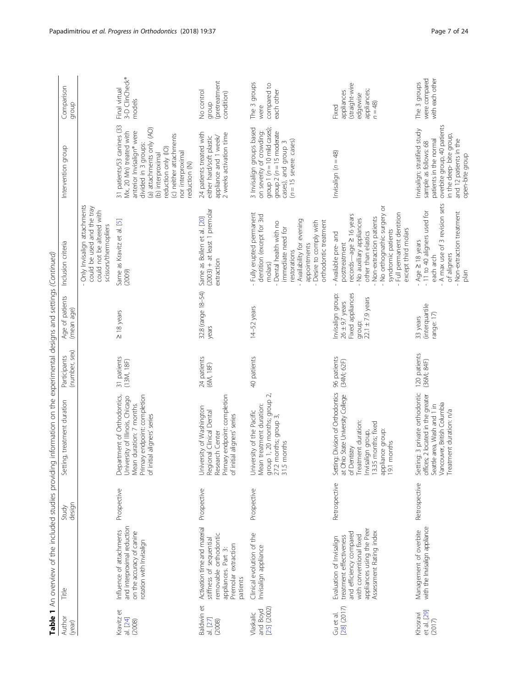|                                          |                                                                                                                                                                   |                 | Table 1 An overview of the included studies providing information on the experimental designs and settings (Continued)                                                                      |                               |                                                                                               |                                                                                                                                                                                                                                                            |                                                                                                                                                                                                                                                      |                                                                              |
|------------------------------------------|-------------------------------------------------------------------------------------------------------------------------------------------------------------------|-----------------|---------------------------------------------------------------------------------------------------------------------------------------------------------------------------------------------|-------------------------------|-----------------------------------------------------------------------------------------------|------------------------------------------------------------------------------------------------------------------------------------------------------------------------------------------------------------------------------------------------------------|------------------------------------------------------------------------------------------------------------------------------------------------------------------------------------------------------------------------------------------------------|------------------------------------------------------------------------------|
| Author<br>(year)                         | ごという                                                                                                                                                              | design<br>Study | Setting, treatment duration                                                                                                                                                                 | (number, sex)<br>Participants | Age of patients<br>(mean age)                                                                 | Inclusion criteria                                                                                                                                                                                                                                         | Intervention group                                                                                                                                                                                                                                   | Comparison<br>group                                                          |
|                                          |                                                                                                                                                                   |                 |                                                                                                                                                                                             |                               |                                                                                               | Only Invisalign attachments<br>could be used and the tray<br>could not be altered with<br>scissors/thermopliers                                                                                                                                            |                                                                                                                                                                                                                                                      |                                                                              |
| Kravitz et<br>al. [24]<br>(2008)         | and interproximal reduction<br>Influence of attachments<br>on the accuracy of canine<br>rotation with Invisalign                                                  | Prospective     | Department of Orthodontics,<br>Primary endpoint: completion<br>University of Illinois, Chicago<br>Mean duration: 7 months.<br>of initial aligners' series                                   | 31 patients<br>(13M, 18F)     | $\geq$ 18 years                                                                               | Same as Kravitz et al. [5]<br>(2009)                                                                                                                                                                                                                       | 31 patients/53 canines (33<br>(a) attachments only (AO)<br>anterior Invisalign® were<br>Mx, 20 Mn) treated with<br>(c) neither attachments<br>divided in 3 groups:<br>reduction only (IO)<br>nor interproximal<br>(b) interproximal<br>reduction (N) | 3-D ClinCheck®<br>Final virtual<br>models                                    |
| Baldwin et<br>al. [27]<br>(2008)         | Activation time and material<br>removable orthodontic<br>stiffness of sequential<br>Premolar extraction<br>appliances. Part 3:<br>patients                        | Prospective     | Research Center<br>Primary endpoint: completion<br>University of Washington<br>Regional Clinical Dental<br>of initial aligners' series                                                      | 24 patients<br>(6M, 18F)      | 32.8 (range 18-54)<br>years                                                                   | (2003) + at least 1 premolar<br>Same as Bollen et al. [20]<br>extraction                                                                                                                                                                                   | 24 patients treated with<br>2 weeks activation time<br>either hard/soft plastic<br>appliance and 1 week/                                                                                                                                             | (pretreatment<br>No control<br>condition)<br>qroup                           |
| $[25]$ $(2002)$<br>and Boyd<br>Vlaskalic | Clinical evolution of the<br>Invisalign appliance                                                                                                                 | Prospective     | group 1, 20 months; group 2,<br>272 months; group 3,<br>31.5 months<br>Mean treatment duration:<br>University of the Pacific                                                                | 40 patients                   | $14-52$ years                                                                                 | Fully erupted permanent<br>dentition (except for 3rd<br>Availability for evening<br>orthodontic treatment<br>Desire to comply with<br>- Dental health with no<br>immediate need for<br>appointments<br>restorations<br>molars)                             | 3 Invisalign groups based<br>group 1 ( $n = 10$ mild cases);<br>group $2 (n = 15$ moderate<br>on severity of crowding:<br>$(n = 15$ severe cases)<br>cases), and group 3                                                                             | The 3 groups<br>compared to<br>each other<br>were                            |
| [28] (2017)<br>Gu et al.                 | appliances using the Peer<br>and efficiency compared<br>Assessment Rating index<br>with conventional fixed<br>treatment effectiveness<br>Evaluation of Invisalign | Retrospective   | Setting: Division of Orthodontics<br>at Ohio State University College<br>Treatment duration:<br>13.35 months; fixed<br>Invisalign group,<br>appliance group:<br>19.1 months<br>of Dentistry | 96 patients<br>(34M; 62F)     | Invisalign group:<br>Fixed appliances<br>$22.1 \pm 7.9$ years<br>$26 \pm 9.7$ years<br>group: | - No orthognathic surgery or<br>- Full permanent dentition<br>records-age 216 years<br>- Non-extraction patients<br>- No auxiliary appliances<br>except third molars<br>syndromic patients<br>other than elastics<br>- Available pre- and<br>posttreatment | Invisalign $(n = 48)$                                                                                                                                                                                                                                | (straight-wire<br>appliances;<br>appliances<br>edgewise<br>$n = 48$<br>Fixed |
| et al. [29]<br>Khosravi<br>(2017)        | with the Invisalign appliance<br>Management of overbite                                                                                                           | Retrospective   | Setting: 3 private orthodontic<br>offices; 2 located in the greater<br>Vancouver, British Columbia<br>Seattle area, Wash and 1 in<br>Treatment duration: n/a                                | 120 patients<br>(36M; 84F)    | (interquartile<br>range: 17)<br>33 years                                                      | A max use of 3 revision sets<br>- 11 to 40 aligners used for<br>Non-extraction treatment<br>- Age $\ge$ 18 years<br>of aligners<br>each arch<br>plan                                                                                                       | overbite group, 40 patients<br>Invisalign; stratified study<br>in the deep-bite group,<br>patients in the normal<br>and 12 patients in the<br>sample as follows: 68<br>open-bite group                                                               | with each other<br>were compared<br>The 3 groups                             |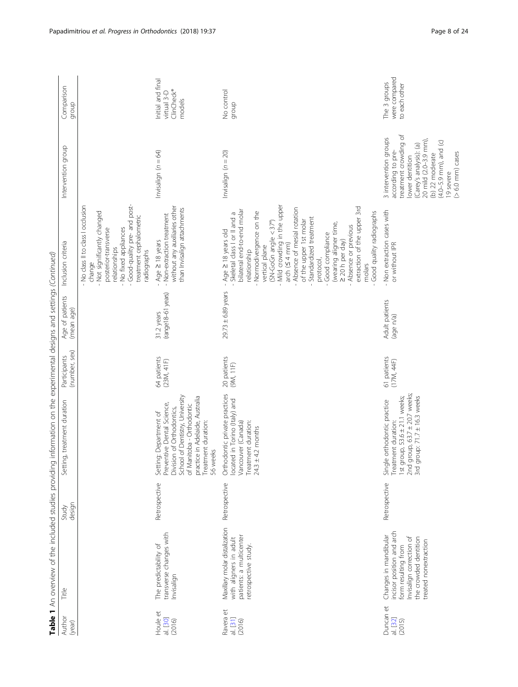| Table 1                         |                                                                                                                                                         |                 | An overview of the included studies providing information on the experimental designs and settings (Continued)                                                                                                          |                               |                                  |                                                                                                                                                                                                                                                                                                                                                                                                                                                                                                       |                                                                                                                                                                                                                                   |                                                          |
|---------------------------------|---------------------------------------------------------------------------------------------------------------------------------------------------------|-----------------|-------------------------------------------------------------------------------------------------------------------------------------------------------------------------------------------------------------------------|-------------------------------|----------------------------------|-------------------------------------------------------------------------------------------------------------------------------------------------------------------------------------------------------------------------------------------------------------------------------------------------------------------------------------------------------------------------------------------------------------------------------------------------------------------------------------------------------|-----------------------------------------------------------------------------------------------------------------------------------------------------------------------------------------------------------------------------------|----------------------------------------------------------|
| Author<br>(year)                | Title                                                                                                                                                   | design<br>Study | ng, treatment duration<br>Settii                                                                                                                                                                                        | (number, sex)<br>Participants | Age of patients<br>(mean age)    | Inclusion criteria                                                                                                                                                                                                                                                                                                                                                                                                                                                                                    | Intervention group                                                                                                                                                                                                                | Comparison<br>qroup                                      |
|                                 |                                                                                                                                                         |                 |                                                                                                                                                                                                                         |                               |                                  | -Good-quality pre- and post-<br>- No class II to class I occlusion<br>- Not significantly changed<br>treatment cephalometric<br>- No fixed appliances<br>posterior-transverse<br>relationships<br>radiographs<br>change                                                                                                                                                                                                                                                                               |                                                                                                                                                                                                                                   |                                                          |
| Houle et<br>al. [30]<br>(2016)  | transverse changes with<br>The predictability of<br>Invisalign                                                                                          | Retrospective   | School of Dentistry, University<br>practice in Adelaide, Australia<br>Preventive Dental Science,<br>of Manitoba - Orthodontic<br>Division of Orthodontics,<br>Setting: Department of<br>Treatment duration:<br>56 weeks | 64 patients<br>(23M, 41F)     | (range18-61 years)<br>31.2 years | without any auxiliaries other<br>than Invisalign attachments<br>- Non-extraction treatment<br>- Age $\ge$ 18 years                                                                                                                                                                                                                                                                                                                                                                                    | Invisalign $(n = 64)$                                                                                                                                                                                                             | Initial and final<br>virtual 3-D<br>ClinCheck®<br>models |
| Ravera et<br>al. [31]<br>(2016) | Maxillary molar distalization<br>patients: a multicenter<br>with aligners in adult<br>retrospective study.                                              | Retrospective   | Orthodontic private practices<br>located in Torino (Italy) and<br>Vancouver (Canada)<br>Treatment duration:<br>$±4.2$ months<br>24.3                                                                                    | 20 patients<br>(9M, 11F)      | $29.73 \pm 6.89$ years           | - Mild crowding in the upper<br>extraction of the upper 3rd<br>Absence of mesial rotation<br>bilateral end-to-end molar<br>Normodivergence on the<br>- Good quality radiographs<br>Skeletal class I or II and a<br>Standardized treatment<br>of the upper 1st molar<br>$(SN-GoGn$ angle $<$ 37°)<br>(wearing aligner time,<br>Absence or previous<br>- Age $\ge$ 18 years old<br>Good compliance<br>220 h per day)<br>arch $(54 \text{ mm})$<br>vertical plane<br>relationship<br>protocol,<br>molars | Invisalign $(n = 20)$                                                                                                                                                                                                             | No control<br>group                                      |
| Duncan et<br>al. [32]<br>(2015) | incisor position and arch<br>Changes in mandibular<br>Invisalign correction of<br>the crowded dentition<br>treated nonextraction<br>form resulting from | Retrospective   | 2nd group, 63.7 $\pm$ 20.7 weeks;<br>3rd group: 71.7 $\pm$ 16.3 weeks<br>1st group, $53.6 \pm 21.1$ weeks;<br>Single orthodontic practice<br>Treatment duration                                                         | 61 patients<br>(17M, 44F)     | Adult patients<br>(age n/a)      | - Non extraction cases with<br>or without IPR                                                                                                                                                                                                                                                                                                                                                                                                                                                         | treatment crowding of<br>3 intervention groups<br>20 mild (2.0-3.9 mm),<br>$(4.0 - 5.9$ mm), and $(c)$<br>(Carey's analysis): (a)<br>according to pre-<br>$(>6.0$ mm $)$ cases<br>(b) 22 moderate<br>lower dentition<br>19 severe | were compared<br>The 3 groups<br>to each other           |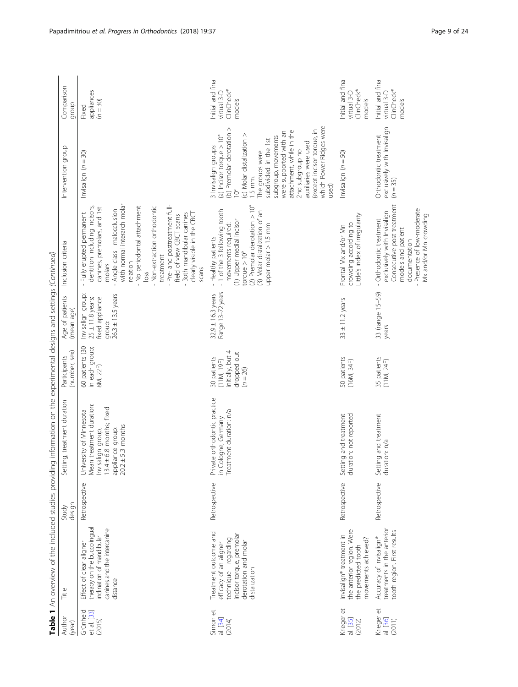|                                                                                              |                                                                                                                                               |                 | Table 1 An overview of the included studies providing information on the experimental designs and settings (Continued)                              |                                                                            |                                                                                             |                                                                                                                                                                                                                                                                                                                                                                                                   |                                                                                                                                                                                                                                                                                                                                                                                                |                                                                 |
|----------------------------------------------------------------------------------------------|-----------------------------------------------------------------------------------------------------------------------------------------------|-----------------|-----------------------------------------------------------------------------------------------------------------------------------------------------|----------------------------------------------------------------------------|---------------------------------------------------------------------------------------------|---------------------------------------------------------------------------------------------------------------------------------------------------------------------------------------------------------------------------------------------------------------------------------------------------------------------------------------------------------------------------------------------------|------------------------------------------------------------------------------------------------------------------------------------------------------------------------------------------------------------------------------------------------------------------------------------------------------------------------------------------------------------------------------------------------|-----------------------------------------------------------------|
| Author<br>(year)                                                                             | Title                                                                                                                                         | design<br>Study | ng, treatment duration<br>Setti                                                                                                                     | (number, sex)<br>Participants                                              | Age of patients<br>(mean age)                                                               | Inclusion criteria                                                                                                                                                                                                                                                                                                                                                                                | Intervention group                                                                                                                                                                                                                                                                                                                                                                             | Comparison<br>group                                             |
| Grünheid<br>et al. [33]<br>(2015)                                                            | therapy on the buccolingual<br>canines and the intercanine<br>inclination of mandibular<br>Effect of clear aligner<br>distance                | Retrospective   | Mean treatment duration:<br>±6.8 months; fixed<br>University of Minnesota<br>appliance group:<br>$20.2 \pm 5.3$ months<br>Invisalign group,<br>13.4 | 60 patients (30<br>in each group;<br>8M, 22F)                              | $26.3 \pm 13.5$ years<br>lnvisalign group:<br>25 ± 11.8 years;<br>fixed appliance<br>group: | with normal interarch molar<br>- Pre- and posttreatment full-<br>- Non-extraction orthodontic<br>dentition including incisors,<br>- No periodontal attachment<br>canines, premolars, and 1st<br>- Angle class I malocclusion<br>clearly visible in the CBCT<br>Fully erupted permanent<br>Both mandibular canines<br>field of view CBCT scans<br>treatment<br>relation<br>molars<br>scans<br>loss | Invisalign $(n = 30)$                                                                                                                                                                                                                                                                                                                                                                          | appliances<br>$(n = 30)$<br>Fixed                               |
| Simon et<br>al. [34]<br>(2014)                                                               | Treatment outcome and<br>incisor torque, premolar<br>technique - regarding<br>derotation and molar<br>efficacy of an aligner<br>distalization | Retrospective   | Private orthodontic practice<br>Treatment duration: n/a<br>in Cologne, Germany                                                                      | initially, but 4<br>dropped out<br>30 patients<br>(11M, 19F)<br>$(n = 26)$ | Range 13-72 years<br>$32.9 \pm 16.3$ years                                                  | (2) Premolar derotation $> 10^{\circ}$<br>-1 of the 3 following tooth<br>(3) Molar distalization of an<br>(1) Upper medial incisor<br>movements required:<br>upper molar $> 1.5$ mm<br>- Healthy patients<br>torque $> 10^{\circ}$                                                                                                                                                                | which Power Ridges were<br>Λ<br>except incisor torque, in<br>attachment, while in the<br>were supported with an<br>(a) Incisor torque $> 10^{\circ}$<br>(b) Premolar derotation<br>(c) Molar distalization ><br>subgroup, movements<br>subdivided: in the 1st<br>auxiliaries were used<br>3 Invisalign groups:<br>2nd subgroup no<br>The groups were<br>$1.5$ mm.<br>used)<br>$\sum_{i=1}^{6}$ | Initial and final<br>ClinCheck®<br>virtual 3-D<br>models        |
| Krieger et<br>al. [35]<br>(2012)                                                             | the anterior region. Were<br>Invisalign® treatment in<br>movements achieved?<br>the predicted tooth                                           | Retrospective   | Setting and treatment<br>duration: not reported                                                                                                     | 50 patients<br>(16M, 34F)                                                  | $33 \pm 11.2$ years                                                                         | Little's index of irregularity<br>crowding according to<br>Frontal Mx and/or Mn                                                                                                                                                                                                                                                                                                                   | Invisalign $(n = 50)$                                                                                                                                                                                                                                                                                                                                                                          | Initial and final<br><b>ClinCheck®</b><br>virtual 3-D<br>models |
| $\stackrel{\scriptscriptstyle +}{\scriptscriptstyle \circ}$<br>Krieger<br>al. [36]<br>(2011) | treatments in the anterior<br>tooth region. First results<br>Accuracy of Invisalign®                                                          | Retrospective   | Setting and treatment<br>duration: n/a                                                                                                              | 35 patients<br>(11M, 24F)                                                  | 33 (range 15-59)<br>years                                                                   | - Consecutive post-treatment<br>- Presence of low-moderate<br>exclusively with Invisalign<br>Mx and/or Mn crowding<br>- Orthodontic treatment<br>models and patient<br>documentation                                                                                                                                                                                                              | exclusively with Invisalign<br>Orthodontic treatment<br>$(n = 35)$                                                                                                                                                                                                                                                                                                                             | Initial and final<br>ClinCheck®<br>virtual 3-D<br>models        |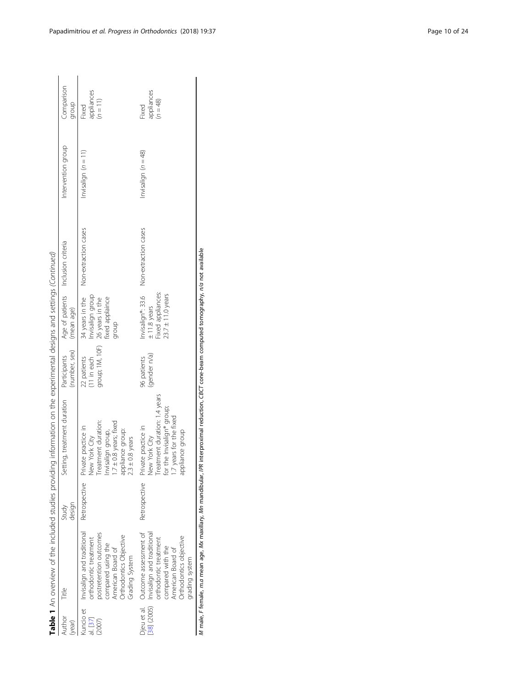|                    |                                                                                                                                                                                           |                 | Table 1 An overview of the included studies providing information on the experimental designs and settings (Continued)                                                  |                                                              |                                                              |                                        |                         |                                   |
|--------------------|-------------------------------------------------------------------------------------------------------------------------------------------------------------------------------------------|-----------------|-------------------------------------------------------------------------------------------------------------------------------------------------------------------------|--------------------------------------------------------------|--------------------------------------------------------------|----------------------------------------|-------------------------|-----------------------------------|
| Author<br>(Vear    | Fit le                                                                                                                                                                                    | design<br>Study | Setting, treatment duration Participants                                                                                                                                | (number, sex)                                                | Age of patients Inclusion criteria<br>(mean age)             |                                        | Intervention group      | Comparison<br>group               |
| al. [37]<br>(2007) | uncio et Invisalign and traditional<br>postretention outcomes<br>Orthodontics Objective<br>orthodontic treatment<br>compared using the<br>American Board of<br>Grading System             |                 | Treatment duration:<br>$1.7 \pm 0.8$ years; fixed<br>Retrospective Private practice in<br>Invisalign group,<br>appliance group:<br>New York City<br>$2.3 \pm 0.8$ years | group; 1M, 10F) 26 years in the<br>11 in each<br>22 patients | Invisalign group<br>fixed applaince<br>group                 | 34 years in the Non-extraction cases   | Invisalign ( $n = 11$ ) | appliances<br>$(n = 11)$<br>Fixed |
|                    | Djeu et al. Outcome assessment of<br>38] (2005) Invisalign and traditional<br>Orthodontics objective<br>orthodontic treatment<br>compared with the<br>American Board of<br>grading system | Retrospective   | Treatment duration: 1.4 years<br>for the Invisalign® group;<br>1.7 years for the fixed<br>Private practice in<br>appliance group<br>New York City                       | (gender n/a)<br>96 patients                                  | Fixed appliances:<br>$23.7 \pm 11.0$ years<br>$±$ 11.8 years | Invisalign®: 33.6 Non-extraction cases | Invisalign $(n = 48)$   | appliances<br>$(n = 48)$<br>Fixed |

M male, F female, m.a mean age, Mx maxillary, Mn mandibular, IPR interproximal reduction, CBCT cone-beam computed tomography, n/a not available male, F female, m.a mean age, Mx maxillary, Mn mandibular, IPR interproximal reduction, CBCT cone-beam computed tomography, n/a not available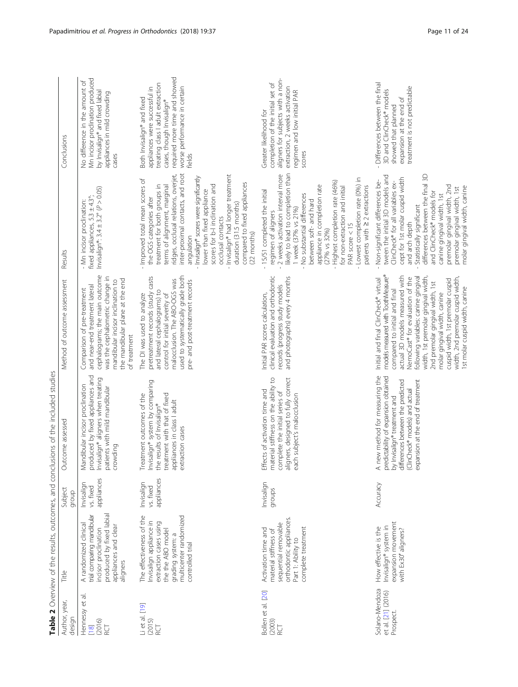<span id="page-10-0"></span>

| Author, year,                                                                     | Table 2 Overview of the results, outcomes, and conclusions of the included studies<br>Fite <sup>1</sup>                                                               | Subject                                        | Outcome assessed                                                                                                                                                                                                   | Method of outcome assessment                                                                                                                                                                                                                                                                                                                                                                                                                    | Results                                                                                                                                                                                                                                                                                                                                                                                                                                                         | Conclusions                                                                                                                                                                                              |
|-----------------------------------------------------------------------------------|-----------------------------------------------------------------------------------------------------------------------------------------------------------------------|------------------------------------------------|--------------------------------------------------------------------------------------------------------------------------------------------------------------------------------------------------------------------|-------------------------------------------------------------------------------------------------------------------------------------------------------------------------------------------------------------------------------------------------------------------------------------------------------------------------------------------------------------------------------------------------------------------------------------------------|-----------------------------------------------------------------------------------------------------------------------------------------------------------------------------------------------------------------------------------------------------------------------------------------------------------------------------------------------------------------------------------------------------------------------------------------------------------------|----------------------------------------------------------------------------------------------------------------------------------------------------------------------------------------------------------|
| Hennessy et al.<br>design<br>(2016)<br>$\begin{bmatrix} 1 & 8 \end{bmatrix}$<br>ă | produced by fixed labial<br>trial comparing mandibular<br>A randomized clinical<br>appliances and clear<br>incisor proclination<br>aligners                           | appliances<br>Invisalign<br>vs. fixed<br>group | produced by fixed appliances and<br>Invisalign® aligners when treating<br>Mandibular incisor proclination<br>patients with mild mandibular<br>crowding                                                             | cephalograms; the main outcome<br>was the cephalometric change in<br>the mandibular plane at the end<br>mandibular incisor inclination to<br>and near-end treatment lateral<br>Comparison of pre-treatment<br>of treatment                                                                                                                                                                                                                      | Invisalign®: $3.4 \pm 3.2^{\circ}$ ( $P > 0.05$ )<br>fixed appliances, 5.3 ± 4.3°;<br>- Mn incisor proclination:                                                                                                                                                                                                                                                                                                                                                | Mn incisor proclination produced<br>No difference in the amount of<br>by Invisalign® and fixed labial<br>appliances in mild crowding<br>cases                                                            |
| Li et al. [19]<br>$(2015)$<br>RCT                                                 | The effectiveness of the<br>multicenter randomized<br>Invisalign appliance in<br>extraction cases using<br>the the ABO model<br>grading system: a<br>controlled trial | appliances<br>Invisalign<br>vs. fixed          | Invisalign® system by comparing<br>treatment with that of fixed<br>Treatment outcomes of the<br>appliances in class I adult<br>the results of Invisalign®<br>extraction cases                                      | used to systematically grade both<br>pretreatment records (study casts<br>malocclusion. The ABO-OGS was<br>pre- and post-treatment records<br>and lateral cephalograms) to<br>control for initial severity of<br>The DI was used to analyze                                                                                                                                                                                                     | inter-proximal contacts, and root<br>ridges, occlusal relations, overjet,<br>Invisalign® had longer treatment<br>Invisalign® scores were significantly<br>Improved total mean scores of<br>compared to fixed appliances<br>scores for b-I inclination and<br>treatment for both groups in<br>terms of alignment, marginal<br>lower than fixed appliance<br>the OGS categories after<br>duration (31.5 months)<br>occlusal contacts<br>(22 months)<br>angulation | required more time and showed<br>treating class I adult extraction<br>worse performance in certain<br>appliances were successful in<br>Both Invisalign® and fixed<br>cases, though Invisalign®<br>fields |
| Bollen et al. [20]<br>$(2003)$<br>RCT                                             | orthodontic appliances.<br>sequential removable<br>complete treatment<br>Activation time and<br>material stiffness of<br>Part 1: Ability to                           | Invisalign<br>groups                           | material stiffness on the ability to<br>aligners, designed to fully correct<br>Effects of activation time and<br>complete the initial series of<br>each subject's malocclusion                                     | clinical evaluation and orthodontic<br>and photographs) every 4 months<br>records (progress study models<br>Initial PAR scores calculation,                                                                                                                                                                                                                                                                                                     | likely to lead to completion than<br>2 weeks activation interval more<br>- Lowest completion rate (0%) in<br>- Highest completion rate (46%)<br>appliance in completion rate<br>patients with $\geq$ 2 extractions<br>for non-extraction and initial<br>- 15/51 completed the initial<br>- No substantial differences<br>between soft- and hard<br>1 week (37% vs 21%)<br>regimen of aligners<br>PAR score < 15<br>$(27% \text{ vs } 32%)$                      | aligners for subjects with a non-<br>completion of the initial set of<br>extraction, 2 weeks activation<br>regimen and low initial PAR<br>Greater likelihood for<br>scores                               |
| Solano-Mendoza<br>et al. [21] (2016)<br>Prospect.                                 | expansion movement<br>Invisalign® system in<br>How effective is the<br>with Ex30' aligners?                                                                           | Accuracy                                       | A new method for measuring the<br>predictability of expansion obtained<br>by Invisalign® treatment and<br>differences between the predicted<br>expansion at the end of treatment<br>(ClinCheck® models) and actual | models measured with ToothMeasure®<br>actual 3D models measured with<br>following variables: canine gingival<br>width, 1st premolar gingival width,<br>width, 2nd premolar cuspid width,<br>NemoCast® for evaluation of the<br>Initial and final ClinCheck® virtual<br>cuspid width, 1st premolar cuspid<br>2nd premolar gingival width, 1st<br>Ist molar cuspid width, canine<br>compared to initial and final<br>molar gingival width, canine | differences between the final 3D<br>tween the initial 3D models and<br>cept for 1st molar cuspid width<br>Non-significant differences be-<br>ClinCheck® for all variables ex-<br>premolar gingival width, 2nd<br>molar gingival width, canine<br>premolar gingival width, 1st<br>and ClinCheck® models for<br>canine gingival width, 1st<br>Statistically significant<br>and arch depth                                                                         | Differences between the final<br>treatment is not predictable<br>3D and ClinCheck® models<br>expansion at the end of<br>showed that planned                                                              |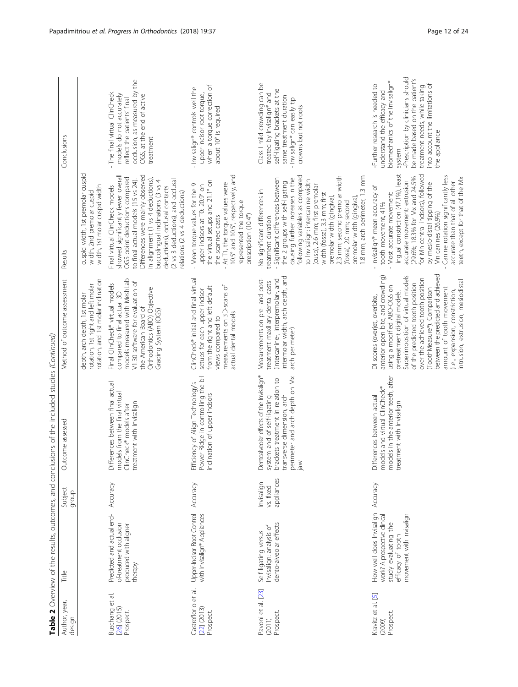| Author, year,<br>design                             | Title                                                                                                                             | Subject<br>qroup                      | Outcome assessed                                                                                                                                                                    | Method of outcome assessment                                                                                                                                                                                                                                                                                                                                                                                           | Results                                                                                                                                                                                                                                                                                                                                                                                                                                                         | Conclusions                                                                                                                                                                                                                                                           |
|-----------------------------------------------------|-----------------------------------------------------------------------------------------------------------------------------------|---------------------------------------|-------------------------------------------------------------------------------------------------------------------------------------------------------------------------------------|------------------------------------------------------------------------------------------------------------------------------------------------------------------------------------------------------------------------------------------------------------------------------------------------------------------------------------------------------------------------------------------------------------------------|-----------------------------------------------------------------------------------------------------------------------------------------------------------------------------------------------------------------------------------------------------------------------------------------------------------------------------------------------------------------------------------------------------------------------------------------------------------------|-----------------------------------------------------------------------------------------------------------------------------------------------------------------------------------------------------------------------------------------------------------------------|
|                                                     |                                                                                                                                   |                                       |                                                                                                                                                                                     | rotation, and 1st molar inclination<br>rotation, 1st right and left molar<br>depth, arch depth, 1st molar                                                                                                                                                                                                                                                                                                              | cuspid width, 1st premolar cuspid<br>width, 1st molar cuspid width<br>width, 2nd premolar cuspid                                                                                                                                                                                                                                                                                                                                                                |                                                                                                                                                                                                                                                                       |
| Buschang et al.<br>$[26]$ $(2015)$<br>Prospect.     | Predicted and actual end-<br>of-treatment occlusion<br>produced with aligner<br>therapy                                           | Accuracy                              | Differences between final actual<br>models from the final virtual<br>ClinCheck® models after<br>treatment with Invisalign                                                           | models measured with MeshLab<br>V1.30 software for evaluation of<br>Final ClinCheck® virtual models<br>Orthodontics (ABO) Objective<br>compared to final actual 3D<br>the American Board of<br>Grading System (OGS)                                                                                                                                                                                                    | showed significantly fewer overall<br>Differences were mainly observed<br>OGS point deductions compared<br>in alignment (1 vs 4 deductions),<br>to final actual models (15 vs 24).<br>(2 vs 3 deductions), and occlusal<br>buccolingual inclinations (3 vs 4<br>Final virtual ClinCheck models<br>deductions), occlusal contacts<br>elations (2 vs 4 deductions)                                                                                                | occlusion, as measured by the<br>The final virtual ClinCheck<br>models do not accurately<br>OGS, at the end of active<br>reflect the patients' final<br>treatment                                                                                                     |
| Castroflorio et al.<br>$[22]$ $(2013)$<br>Prospect. | Upper-Incisor Root Control<br>with Invisalign® Appliances                                                                         | Accuracy                              | Efficiency of Align Technology's<br>Power Ridge in controlling the b-l<br>inclination of upper incisors                                                                             | ClinCheck® initial and final virtual<br>measurements on 3D-scans of<br>from the right and left default<br>setups for each upper incisor<br>actual dental models<br>views compared to                                                                                                                                                                                                                                   | 10.5° and 10.5°, respectively, and<br>the virtual setups and 21.1° on<br>At T1, the torque values were<br>Ò<br>upper incisors at T0: 20.9° on<br>Mean torque values for the<br>represented the torque<br>prescription (10.4°)<br>the scanned casts                                                                                                                                                                                                              | when a torque correction of<br>Invisalign® controls well the<br>upper-incisor root torque,<br>about 10° is required                                                                                                                                                   |
| Pavoni et al. [23]<br>Prospect.<br>(2011)           | dento-alveolar effects<br>Invisalign: analysis of<br>Self-ligating versus                                                         | appliances<br>Invisalign<br>vs. fixed | Dentoalveolar effects of the Invisalign®<br>perimeter and arch depth on Mx<br>jaw<br>system and of self-ligating<br>brackets treatment in relation to<br>transverse dimension, arch | intermolar width, arch depth, and<br>(intercanine-, interpremolar-, and<br>Measurements on pre- and post-<br>treatment maxillary dental casts<br>arch perimeter)                                                                                                                                                                                                                                                       | following variables as compared<br>2.3 mm; second premolar width<br>1.8 mm; arch perimeter, 1.3 mm<br>causing further increases in the<br>Significant differences between<br>to Invisalign: intercanine width<br>the 2 groups with self-ligating<br>(cusp), 2.6 mm; first premolar<br>-No significant differences in<br>width (fossa), 3.3 mm; first<br>premolar width (gingiva),<br>premolar width (gingiva)<br>(fossa), 2.0 mm; second<br>treatment duration. | Class I mild crowding can be<br>self-ligating brackets at the<br>treated by Invisalign® and<br>same treatment duration<br>Invisalign® can easily tip<br>crowns but not roots                                                                                          |
| Kravitz et al. [5]<br>Prospect.<br>(2009)           | How well does Invisalign<br>work? A prospective clinical<br>movement with Invisalign<br>study evaluating the<br>efficacy of tooth | Accuracy                              | models in the anterior teeth, after<br>models and virtual ClinCheck®<br>Differences between actual<br>treatment with Invisalign                                                     | between the predicted and achieved<br>Superimposition of virtual models<br>anterior open bite, and crowding)<br>over the achieved tooth position<br>intrusion, extrusion, mesiodistal<br>of the predicted tooth position<br>using a modified ABO-OGS on<br>(ToothMeasure®). Comparison<br>amount of tooth movement<br>pretreatment digital models.<br>(i.e., expansion, constriction,<br>DI scores (overjet, overbite, | for Mn central incisors), followed<br>lingual constriction (47.1%), least<br>- Canine rotation significantly less<br>(29.6%; 18.3% for Mx and 24.5%<br>teeth, except for that of the Mx<br>accurate movement: extrusion<br>accurate than that of all other<br>by mesio-distal tipping of the<br>- Invisalign® mean accuracy of<br>Most accurate movement:<br>tooth movement, 41%<br>Mn canines (26.9%)                                                          | Prescription by clinicians should<br>be made based on the patient's<br>biomechanics of the Invisalign®<br>treatment needs, while taking<br>into account the limitations of<br>Further research is needed to<br>understand the efficacy and<br>the appliance<br>system |

Table 2 Overview of the results, outcomes, and conclusions of the included studies (Continued) Table 2 Overview of the results, outcomes, and conclusions of the included studies (Continued)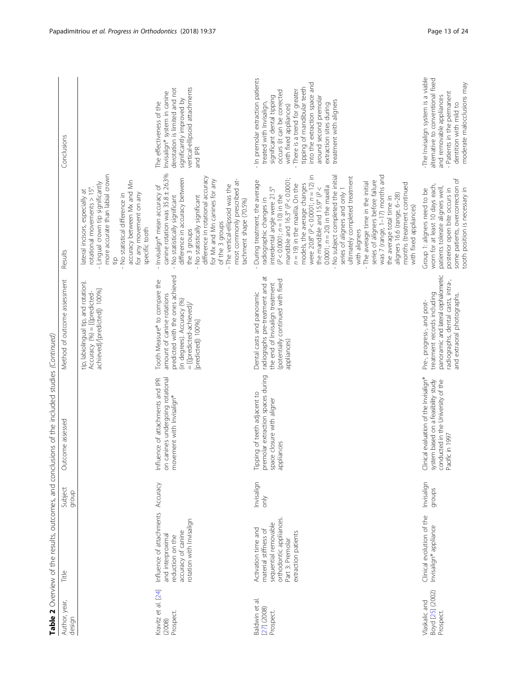|                                            |                                                                                                                                            |                                | Table 2 Overview of the results, outcomes, and conclusions of the included studies (Continued)                |                                                                                                                                                                               |                                                                                                                                                                                                                                                                                                                                                                                                                                                                                                                                                                                                                                                                                                                                       |                                                                                                                                                                                                                                                                                                                                      |
|--------------------------------------------|--------------------------------------------------------------------------------------------------------------------------------------------|--------------------------------|---------------------------------------------------------------------------------------------------------------|-------------------------------------------------------------------------------------------------------------------------------------------------------------------------------|---------------------------------------------------------------------------------------------------------------------------------------------------------------------------------------------------------------------------------------------------------------------------------------------------------------------------------------------------------------------------------------------------------------------------------------------------------------------------------------------------------------------------------------------------------------------------------------------------------------------------------------------------------------------------------------------------------------------------------------|--------------------------------------------------------------------------------------------------------------------------------------------------------------------------------------------------------------------------------------------------------------------------------------------------------------------------------------|
| Author, year,<br>design                    | Fitle                                                                                                                                      | Subject<br>qroup               | Outcome assessed                                                                                              | Method of outcome assessment                                                                                                                                                  | Results                                                                                                                                                                                                                                                                                                                                                                                                                                                                                                                                                                                                                                                                                                                               | Conclusions                                                                                                                                                                                                                                                                                                                          |
|                                            |                                                                                                                                            |                                |                                                                                                               | tip, labiolingual tip, and rotation).<br>achieved / predicted ) 100%]<br>Accuracy (%) = [( predicted-                                                                         | more accurate than labial crown<br>accuracy between Mx and Mn<br>- Lingual crown tip significantly<br>rotational movements $>$ 15°.<br>lateral incisors, especially at<br>for any movement on any<br>No statistical difference in<br>specific tooth<br>ijρ                                                                                                                                                                                                                                                                                                                                                                                                                                                                            |                                                                                                                                                                                                                                                                                                                                      |
| Kravitz et al. [24]<br>Prospect.<br>(2008) | Influence of attachments Accuracy<br>rotation with Invisalign<br>accuracy of canine<br>and interproximal<br>reduction on the               |                                | Influence of attachments and IPR<br>on canines undergoing rotational<br>movement with Invisalign®             | predicted with the ones achieved<br>Tooth Measure® to compare the<br>amount of canine rotations<br>(in degrees). Accuracy (%)<br>= [( predicted-achieved )<br>predicted) 100% | canine rotation was 35.8 ± 26.3%<br>difference in rotational accuracy<br>difference in accuracy between<br>most commonly prescribed at-<br>for Mx and Mn canines for any<br>The vertical-ellipsoid was the<br>- Invisalign® mean accuracy of<br>- No statistically significant<br>No statistically significant<br>tachment shape (70.5%)<br>of the 3 groups<br>the 3 groups                                                                                                                                                                                                                                                                                                                                                           | vertical-ellipsoid attachments<br>derotation is limited and not<br>Invisalign® system in canine<br>significantly improved by<br>The effectiveness of the<br>and IPR                                                                                                                                                                  |
| Baldwin et al.<br>[27] (2008)<br>Prospect. | orthodontic appliances.<br>sequential removable<br>Activation time and<br>material stiffness of<br>extraction patients<br>Part 3: Premolar | Invisalign<br>$\sum_{i=1}^{n}$ | premolar extraction spaces during<br>Tipping of teeth adjacent to<br>space closure with aligner<br>appliances | radiographs pre-treatment and at<br>(potentially continued with fixed<br>the end of Invisalign treatment<br>Dental casts and panoramic<br>appliances)                         | was 7 (range, 1-17) months and<br>were $20.8^{\circ}$ ( $P < 0.0001$ ; $n = 12$ ) in<br>No subject completed the initial<br>ultimately completed treatment<br>mandible and $16.3^\circ$ ( $P < 0.0001$ ;<br>series of aligners before failure<br>During treatment, the average<br>- The average time in the initial<br>months (treatment continued<br>models, the average changes<br>$n = 19$ ) in the maxilla. On the<br>$0.0001; n = 20$ ) in the maxilla<br>interdental angle were 21.5°<br>the mandible and $15.9^{\circ}$ (P <<br>series of aligners and only<br>aligners 16.6 (range, 6-28)<br>$(P < 0.0001; n = 10)$ in the<br>the average total time in<br>radiographic changes in<br>with fixed appliances)<br>with aligners | - In premolar extraction patients<br>into the extraction space and<br>tipping of mandibular teeth<br>There is a trend for greater<br>occurs (it can be corrected<br>significant dental tipping<br>around second premolar<br>treatment with aligners<br>extraction sites during<br>treated with Invisalign,<br>with fixed appliances) |

Vlaskalic and Boyd [\[25\]](#page-23-0) (2002)

Vlaskalic and

Clinical evolution of the Invisalign® appliance

Clinical evolution of the Invisalign

Clinical evaluation of the Invisalign® system based on a feasibility study conducted in the University of the

Clinical evaluation of the Invisalign® I<br>system based on a feasibility study I<br>conducted in the University of the I<br>Pacific in 1997

Pre-, progress-, and posttreatment records including panoramic and lateral cephalometric radiographs, dental casts, intra-, and extraoral photographs.

Pre-, progress-, and post-

treatment records including<br>panoramic and lateral cephalometric<br>radiographs, dental casts, intra-,<br>and extraoral photographs.

Group 1: aligners need to be worn for at least 10 days each, patients tolerate aligners well, posterior open bite occurs in some patients, overcorrection of tooth position is necessary in

worn for at least 10 days each, Group 1: aligners need to be

: patients tolerate aligners well,<br>posterior open bite occurs in<br>some patients, overcorrection of<br>tooth position is necessary in

-The Invisalign system is a viable alternative to conventional fixed and removable appliances - Patients in the permanent dentition with mild to moderate malocclusions may

-The Invisalign system is a viable<br>alternative to conventional fixed<br>and removable appliances<br>- Patients in the permanent<br>dentition with mild to<br>moderate malocclusions may

groups

Pacific in 1997

Boyd [25] (2002) Invisalign® appliance<br>Prospect.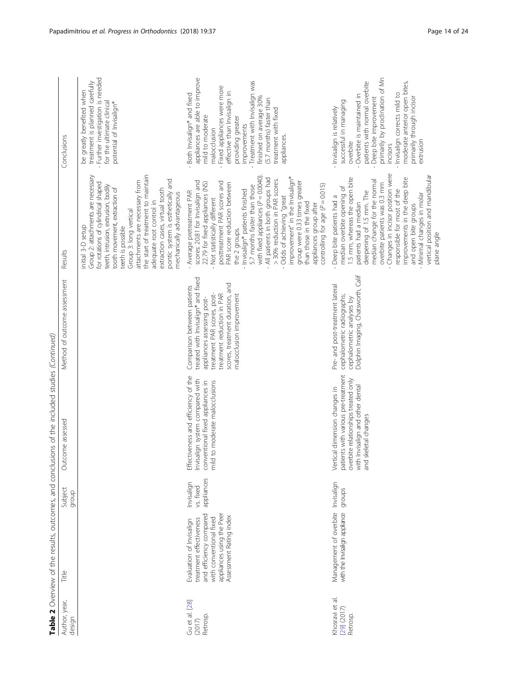| j<br>I                      |
|-----------------------------|
|                             |
| İ<br>Ï                      |
| í                           |
| I<br>j<br>$\frac{1}{2}$     |
| ī<br>ļ<br>،<br>با<br>j<br>1 |
| i<br>ļ<br>١<br>I            |
| ì<br>i<br>I<br>ì            |
|                             |
| į<br>I<br>ı                 |
| $rac{1}{2}$<br>I            |

|                                            |                                                                                                                                                                   |                                       | Table 2 Overview of the results, outcomes, and conclusions of the included studies (Continued)                                                                                                 |                                                                                                                                                                                                                             |                                                                                                                                                                                                                                                                                                                                                                                                                                                                                                                                                                                          |                                                                                                                                                                                                                                                                                                                                    |
|--------------------------------------------|-------------------------------------------------------------------------------------------------------------------------------------------------------------------|---------------------------------------|------------------------------------------------------------------------------------------------------------------------------------------------------------------------------------------------|-----------------------------------------------------------------------------------------------------------------------------------------------------------------------------------------------------------------------------|------------------------------------------------------------------------------------------------------------------------------------------------------------------------------------------------------------------------------------------------------------------------------------------------------------------------------------------------------------------------------------------------------------------------------------------------------------------------------------------------------------------------------------------------------------------------------------------|------------------------------------------------------------------------------------------------------------------------------------------------------------------------------------------------------------------------------------------------------------------------------------------------------------------------------------|
| Author, year<br>design                     | Title                                                                                                                                                             | Subject<br>qroup                      | Outcome assessed                                                                                                                                                                               | Method of outcome assessment                                                                                                                                                                                                | Results                                                                                                                                                                                                                                                                                                                                                                                                                                                                                                                                                                                  | Conclusions                                                                                                                                                                                                                                                                                                                        |
|                                            |                                                                                                                                                                   |                                       |                                                                                                                                                                                                |                                                                                                                                                                                                                             | the start of treatment to maintain<br>Group 2: attachments are necessary<br>pontic system is esthetically and<br>attachments are necessary from<br>or rotations of cylindrical shaped<br>teeth, intrusion, extrusion, bodily<br>tooth movement, extraction of<br>extraction cases, virtual tooth<br>mechanically advantageous<br>adequate root control in<br>Group 3: long vertical<br>nitial 3-D setup<br>teeth is possible                                                                                                                                                             | Further investigation is needed<br>treatment is planned carefully<br>be greatly benefited when<br>for the ultimate clinical<br>potential of Invisalign®                                                                                                                                                                            |
| Gu et al. [28]<br>Retrosp.<br>(2017)       | appliances using the Peer<br>and efficiency compared<br>Assessment Rating index<br>with conventional fixed<br>treatment effectiveness<br>Evaluation of Invisalign | appliances<br>Invisalign<br>vs. fixed | Effectiveness and efficiency of the<br>Invisalign system compared with<br>mild to moderate malocclusions<br>conventional fixed appliances in                                                   | treated with Invisalign® and fixed<br>scores, treatment duration, and<br>Comparison between patients<br>treatment reduction in PAR<br>treatment PAR scores, post-<br>malocclusion improvement<br>appliances assessing post- | with fixed appliances ( $P = 0.0040$ )<br>improvement" in the Invisalign®<br>All patients in both groups had<br>> 30% reduction in PAR scores.<br>scores: 20.81 for Invisalign and<br>group were 0.33 times greater<br>posttreatment PAR scores and<br>22.79 for fixed appliances (NS)<br>PAR score reduction between<br>controlling for age $(P = 0.015)$<br>5.7 months faster than those<br>Invisalign® patients finished<br>Average pretreatment PAR<br>Odds of achieving "great<br>Not statistically different<br>than those in the fixed<br>appliances group after<br>the 2 groups. | appliances are able to improve<br>Treatment with Invisalign was<br>Fixed appliances were more<br>effective than Invisalign in<br>Both Invisalign® and fixed<br>finished on average 30%<br>(5.7 months) faster than<br>treatment with fixed<br>mild to moderate<br>providing greater<br>improvements<br>malocclusion<br>appliances. |
| Khosravi et al.<br>[29] (2017)<br>Retrosp. | Management of overbite<br>with the Invisalign appliance                                                                                                           | Invisalign<br>groups                  | patients with various pre-treatment<br>overbite relationships treated only<br>with Invisalign and other dental<br>and skeletal changes<br>Vertical dimension changes in<br>nd skeletal changes | Dolphin Imaging, Chatsworth, Calif<br>Pre- and post-treatment lateral<br>cephalometric radiographs;<br>cephalometric analyses by                                                                                            | Changes in incisor position were<br>vertical position and mandibular<br>.5 mm, whereas the open bite<br>improvements in the deep bite<br>median change for the normal<br>overbite patients was 0.3 mm<br>median overbite opening of<br>responsible for most of the<br>deepening of 1.5 mm. The<br>Minimal changes in molar<br>Deep bite patients had a<br>patients had a median<br>and open bite groups<br>plane angle                                                                                                                                                                   | primarily by proclination of Mn<br>moderate anterior open bites,<br>patients with normal overbite<br>Invisalign corrects mild to<br>Overbite is maintained in<br>primarily through incisor<br>Deep bite improvement<br>successful in managing<br>Invisalign is relatively<br>extrusion<br>overbite<br>incisors                     |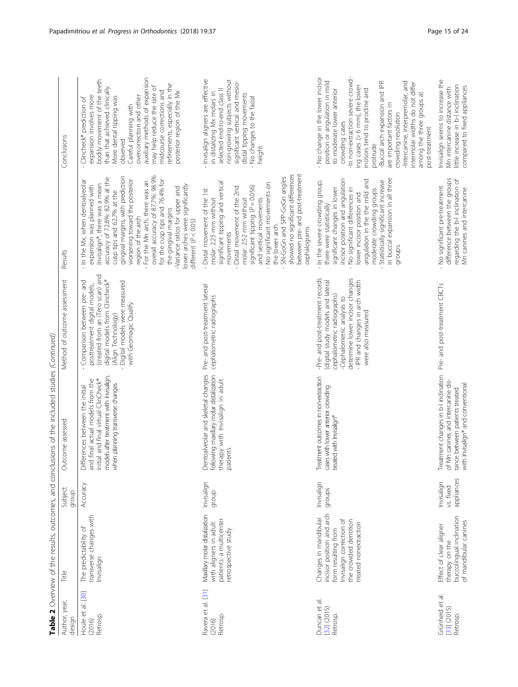|                              |                                                                                 |                  | Table 2 Overview of the results, outcomes, and conclusions of the included studies (Continued)                                                                                             |                                                                                                                                                                                                                       |                                                                                                                                                                                                                                                                                                                                                                                                |                                                                                                                                                                                                                                                                                                                           |
|------------------------------|---------------------------------------------------------------------------------|------------------|--------------------------------------------------------------------------------------------------------------------------------------------------------------------------------------------|-----------------------------------------------------------------------------------------------------------------------------------------------------------------------------------------------------------------------|------------------------------------------------------------------------------------------------------------------------------------------------------------------------------------------------------------------------------------------------------------------------------------------------------------------------------------------------------------------------------------------------|---------------------------------------------------------------------------------------------------------------------------------------------------------------------------------------------------------------------------------------------------------------------------------------------------------------------------|
| uthor, year, Title<br>lesian |                                                                                 | Subject<br>dnoi6 | Outcome assessed                                                                                                                                                                           | Method of outcome assessment Results                                                                                                                                                                                  |                                                                                                                                                                                                                                                                                                                                                                                                | Conclusions                                                                                                                                                                                                                                                                                                               |
| Retrosp.<br>(2016)           | transverse changes with<br>loule et al. [30] The predictability of<br>nvisalign | Accuracy         | models after treatment with Invisalign,<br>initial and final virtual ClinCheck®<br>and final actual models from the<br>when planning transverse changes<br>Differences between the initial | (created from an iTero scan) and<br>digital models from Clincheck®<br>- Comparison between pre- and<br>- Digital models were measured<br>posttreatment digital models,<br>with Geomagic Quality<br>(Align Technology) | overall accuracy of 87.7%: 98.9%<br>gingival margins, with prediction<br>accuracy of 72.8%: 82.9% at the<br>for the cusp tips and 76.4% for<br>- In the Mx, when dentoalveolar<br>worsening toward the posterior<br>- For the Mn arch, there was an<br>Invisalign®, there was a mean<br>expansion was planned with<br>cusp tips and 62.7% at the<br>the gingival margins<br>region of the arch | - Clincheck® prediction of<br>expansion involves more<br>bodily movement of the<br>than that achieved clinic<br>More dental tipping was<br>overcorrection and othe<br>auxiliary methods of exp<br>may help reduce the rat<br>midcourse corrections a<br>refinements, especially in<br>- Careful planning with<br>observed |

| I                  |  |
|--------------------|--|
|                    |  |
|                    |  |
|                    |  |
|                    |  |
|                    |  |
|                    |  |
| ı                  |  |
|                    |  |
|                    |  |
|                    |  |
|                    |  |
|                    |  |
|                    |  |
|                    |  |
|                    |  |
|                    |  |
|                    |  |
|                    |  |
|                    |  |
|                    |  |
|                    |  |
|                    |  |
|                    |  |
|                    |  |
|                    |  |
|                    |  |
|                    |  |
|                    |  |
|                    |  |
|                    |  |
|                    |  |
|                    |  |
|                    |  |
|                    |  |
|                    |  |
|                    |  |
|                    |  |
|                    |  |
|                    |  |
|                    |  |
|                    |  |
|                    |  |
|                    |  |
| ļ                  |  |
|                    |  |
|                    |  |
|                    |  |
|                    |  |
|                    |  |
|                    |  |
|                    |  |
|                    |  |
| こくく                |  |
|                    |  |
|                    |  |
|                    |  |
|                    |  |
|                    |  |
|                    |  |
|                    |  |
|                    |  |
|                    |  |
|                    |  |
|                    |  |
|                    |  |
|                    |  |
|                    |  |
|                    |  |
|                    |  |
|                    |  |
|                    |  |
| is 2002/07/11 2012 |  |
|                    |  |
|                    |  |
|                    |  |
|                    |  |
|                    |  |
|                    |  |
|                    |  |
|                    |  |
|                    |  |
|                    |  |
|                    |  |
|                    |  |
|                    |  |
|                    |  |
|                    |  |
|                    |  |
|                    |  |
|                    |  |
|                    |  |
|                    |  |
|                    |  |
|                    |  |
|                    |  |
|                    |  |
|                    |  |
|                    |  |
|                    |  |
|                    |  |
|                    |  |
|                    |  |
|                    |  |
|                    |  |
|                    |  |
|                    |  |
| I                  |  |
|                    |  |
| l                  |  |

| Houle et al. [30]<br>Retrosp<br>(2016)   | transverse changes with<br>The predictability of<br>Invisalign                                                                                          | Accuracy             | models after treatment with Invisalign,<br>initial and final virtual ClinCheck®<br>Differences between the initial<br>and final actual models from the<br>when planning transverse changes | posttreatment digital models,<br>(created from an iTero scan) and<br>digital models from Clincheck®<br>Comparison between pre- and<br>Digital models were measured<br>with Geomagic Qualify<br>Align Technology)<br>$\mathbf{I}$ | overall accuracy of 87.7%: 98.9%<br>gingival margins, with prediction<br>accuracy of 72.8%: 82.9% at the<br>worsening toward the posterior<br>for the cusp tips and 76.4% for<br>In the Mx, when dentoalveolar<br>For the Mn arch, there was an<br>Invisalign®, there was a mean<br>lower arches were significantly<br>expansion was planned with<br>Variance ratios for upper and<br>cusp tips and 62.7% at the<br>the gingival margins<br>region of the arch<br>different $(P < 0.05)$ | auxiliary methods of expansion<br>bodily movement of the teeth<br>refinements, especially in the<br>than that achieved clinically.<br>may help reduce the rate of<br>posterior region of the Mx<br>midcourse corrections and<br>overcorrection and other<br>expansion involves more<br>More dental tipping was<br>Clincheck® prediction of<br>Careful planning with<br>observed                                                            |
|------------------------------------------|---------------------------------------------------------------------------------------------------------------------------------------------------------|----------------------|--------------------------------------------------------------------------------------------------------------------------------------------------------------------------------------------|----------------------------------------------------------------------------------------------------------------------------------------------------------------------------------------------------------------------------------|------------------------------------------------------------------------------------------------------------------------------------------------------------------------------------------------------------------------------------------------------------------------------------------------------------------------------------------------------------------------------------------------------------------------------------------------------------------------------------------|--------------------------------------------------------------------------------------------------------------------------------------------------------------------------------------------------------------------------------------------------------------------------------------------------------------------------------------------------------------------------------------------------------------------------------------------|
| Ravera et al. [31]<br>Retrosp.<br>(2016) | Maxillary molar distalization<br>patients: a multicenter<br>with aligners in adult<br>etrospective study                                                | Invisalign<br>qroup  | Dentoalveolar and skeletal changes<br>following maxillary molar distalization<br>therapy with Invisalign in adult<br>patients                                                              | Pre- and post-treatment lateral<br>cephalometric radiographs                                                                                                                                                                     | between pre- and post-treatment<br>showed no significant differences<br>SN-GoGn and SPP-GoGn angles<br>significant tipping and vertical<br>No significant movements on<br>Distal movement of the 2nd<br>significant tipping (P = 0.056)<br>Distal movement of the 1st<br>molar: 2.25 mm without<br>molar: 2.52 mm without<br>and vertical movements<br>the lower arch.<br>cephalograms<br>movements                                                                                      | Invisalign aligners are effective<br>non-growing subjects without<br>significant vertical and mesio-<br>selected end-to-end class II<br>in distalizing Mx molars in<br>distal tipping movements<br>No changes to the facial<br>height                                                                                                                                                                                                      |
| Duncan et al.<br>[32] (2015)<br>Retrosp  | incisor position and arch<br>Changes in mandibular<br>Invisalign correction of<br>the crowded dentition<br>treated nonextraction<br>form resulting from | Invisalign<br>groups | Treatment outcomes in non-extraction<br>cases with lower anterior crowding<br>treated with Invisalign®                                                                                     | -Pre- and post-treatment records<br>determine lower incisor changes<br>(digital study models and lateral<br>- IPR and changes in arch width<br>cephalometric radiographs)<br>-Cephalometric analysis to<br>were also measured    | in buccal expansion in all three<br>incisor position and angulation<br>angulation in the the mild and<br>Statistically significant increase<br>- In the severe crowding group,<br>No significant differences in<br>moderate crowding groups<br>significant changes in lower<br>lower incisor position and<br>there were statistically<br>groups.                                                                                                                                         | In non-extraction severe crowd-<br>- No change in the lower incisor<br>position or angulation in mild<br>Buccal arch expansion and IPR<br>Intercanine, interpremolar, and<br>ntermolar widths do not differ<br>ng cases (> 6 mm), the lower<br>incisors tend to procline and<br>to moderate lower anterior<br>among the three groups at<br>are important factors in<br>crowding resolution<br>crowding cases<br>post-treatment<br>protrude |

Invisalign seems to increase the Mn intercanine distance with little increase in b-l inclination compared to fixed appliances

Invisalign seems to increase the<br>Mn intercanine distance with<br>little increase in b-I inclination<br>compared to fixed appliances

Grünheid et al. [[33](#page-23-0)] (2015) Retrosp.

Effect of clear aligner therapy on the buccolingual inclination of mandibular canines

Invisalign vs. fixed appliances

Treatment changes in b-l inclination of Mn canines and intercanine distance between patients treated with Invisalign® and conventional

Treatment changes in b-I inclination Pre- and post-treatment CBCTs<br>of Mn canines and intercanine dis-<br>tance between patients treated<br>with Invisalign® and conventional

Pre- and post-treatment CBCTs - No significant pre-treatment

difference between the groups regarding the b-l inclination of Mn canines and intercanine

- No significant pre-treatment<br>difference between the groups<br>regarding the b-I inclination of<br>Mn canines and intercanine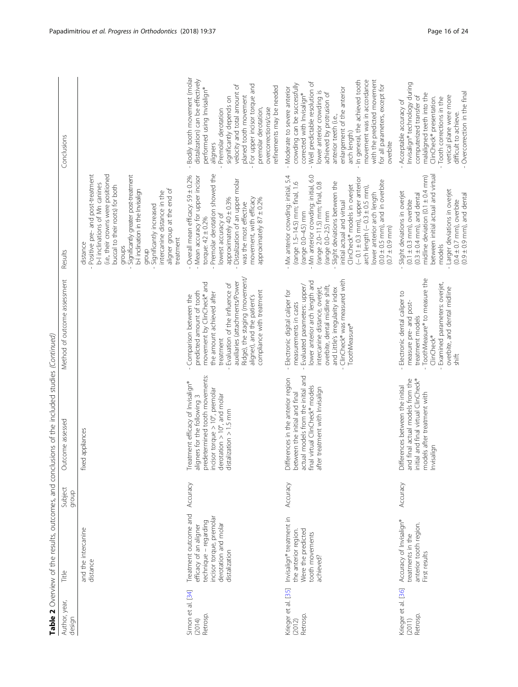|                                           |                                                                                                                                               |                  | Table 2 Overview of the results, outcomes, and conclusions of the included studies (Continued)                                                                                                 |                                                                                                                                                                                                                                                                                               |                                                                                                                                                                                                                                                                                                                                                                                                                                                                         |                                                                                                                                                                                                                                                                                                                                                                                                               |
|-------------------------------------------|-----------------------------------------------------------------------------------------------------------------------------------------------|------------------|------------------------------------------------------------------------------------------------------------------------------------------------------------------------------------------------|-----------------------------------------------------------------------------------------------------------------------------------------------------------------------------------------------------------------------------------------------------------------------------------------------|-------------------------------------------------------------------------------------------------------------------------------------------------------------------------------------------------------------------------------------------------------------------------------------------------------------------------------------------------------------------------------------------------------------------------------------------------------------------------|---------------------------------------------------------------------------------------------------------------------------------------------------------------------------------------------------------------------------------------------------------------------------------------------------------------------------------------------------------------------------------------------------------------|
| Author, year,<br>design                   | Title                                                                                                                                         | Subject<br>qroup | tcome assessed<br>ਟੋ                                                                                                                                                                           | Method of outcome assessment                                                                                                                                                                                                                                                                  | Results                                                                                                                                                                                                                                                                                                                                                                                                                                                                 | Conclusions                                                                                                                                                                                                                                                                                                                                                                                                   |
|                                           | and the intercanine<br>distance                                                                                                               |                  | fixed appliances                                                                                                                                                                               |                                                                                                                                                                                                                                                                                               | (i.e., their crowns were positioned<br>Positive pre- and post-treatment<br>Significantly greater post-treatment<br>b-I inclinations of Mn canines<br>buccal to their roots) for both<br>aligner group at the end of<br>b-I inclination in the Invisalign<br>intercanine distance in the<br>Significantly increased<br>treatment<br>distance<br>groups<br>group                                                                                                          |                                                                                                                                                                                                                                                                                                                                                                                                               |
| Simon et al. [34]<br>Retrosp.<br>(2014)   | Treatment outcome and<br>incisor torque, premolar<br>technique - regarding<br>derotation and molar<br>efficacy of an aligner<br>distalization | Accuracy         | Treatment efficacy of Invisalign®<br>aligners for the following 3<br>predetermined tooth movements:<br>incisor torque > 10°, premolar<br>derotation > 10°, and molar<br>distalization > 1.5 mm | Ridge), the staging (movement/<br>auxiliaries (attachments/Power<br>movement by ClinCheck® and<br>Evaluation of the influence of<br>compliance with treatment<br>predicted amount of tooth<br>the amount achieved after<br>Comparison between the<br>aligner), and the patient's<br>treatment | Premolar derotation showed the<br>- Mean accuracy for upper incisor<br>Overall mean efficacy: 59 ± 0.2%<br>Distalization of an upper molar<br>movement, with efficacy<br>approximately 40 ± 0.3%<br>approximately 87 ± 0.2%<br>was the most effective<br>lowest accuracy of<br>torque: $42 \pm 0.2\%$                                                                                                                                                                   | Bodily tooth movement (molar<br>distalization) can be effectively<br>For upper incisor torque and<br>velocity and total amount of<br>refinements may be needed<br>performed using Invisalign®<br>planed tooth movement<br>significantly depends on<br>premolar derotation,<br>overcorrections/case<br>Premolar derotation<br>aligners                                                                         |
| Krieger et al. [35]<br>Retrosp.<br>(2012) | Invisalign® treatment in<br>the anterior region.<br>Were the predicted<br>tooth movements<br>achieved?                                        | Accuracy         | actual models from the initial and<br>Differences in the anterior region<br>between the initial and final<br>final virtual ClinCheck® models<br>after treatment with Invisalign                | ClinCheck® was measured with<br>lower anterior arch length and<br>Evaluated parameters: upper/<br>overbite, dental midline shift,<br>intercanine distance, overjet,<br>and Little's irregularity index<br>Electronic digital caliper for<br>measurements in casts<br>ToothMeasure®            | Mn anterior crowding: initial, 6.0<br>Mx anterior crowding: initial, 5.4<br>$(-0.1 \pm 0.3$ mm), upper anterior<br>$(0.0 \pm 0.5$ mm), and in overbite<br>(range 1.5-14.5) mm; final, 1.6<br>Slight deviations between the<br>(range 2.0-11.5) mm; final, 0.8<br>arch length $(-0.3 \pm 0.5$ mm),<br>ClinCheck® models in overjet<br>lower anterior arch length<br>initial actual and virtual<br>(range 0.0-4.5) mm<br>(range 0.0-2.5) mm<br>$(0.7 \pm 0.9 \text{ mm})$ | with the predicted movement<br>In general, the achieved tooth<br>movement was in accordance<br>Well predictable resolution of<br>crowding can be successfully<br>for all parameters, except for<br>- Moderate to severe anterior<br>enlargement of the anterior<br>lower anterior crowding is<br>achieved by protrusion of<br>corrected with Invisalign®<br>anterior teeth (i.e.,<br>arch length)<br>overbite |
| Krieger et al. [36]<br>Retrosp.<br>(2011) | Accuracy of Invisalign®<br>anterior tooth region.<br>treatments in the<br>First results                                                       | Accuracy         | initial and final virtual ClinCheck®<br>and final actual models from the<br>Differences between the initial<br>models after treatment with<br>Invisalign                                       | ToothMeasure® to measure the<br>Examined parameters: overjet,<br>overbite, and dental midline<br>Electronic dental caliper to<br>measure pre- and post-<br>treatment models<br>ClinCheck®<br>shift                                                                                            | between initial actual and virtual<br>midline deviation $(0.1 \pm 0.4 \text{ mm})$<br>Larger deviations in overjet<br>Slight deviations in overjet<br>$(0.3 \pm 0.4$ mm), and dental<br>$(0.9 \pm 0.9$ mm), and dental<br>$(0.1 \pm 0.3$ mm), overbite<br>$(0.4 \pm 0.7$ mm), overbite<br>models                                                                                                                                                                        | Invisalign® technology during<br>Overcorrection in the final<br>malaligned teeth into the<br>vertical plane were more<br>computerized transfer of<br>ClinCheck® presentation.<br>Tooth corrections in the<br>Acceptable accuracy of<br>difficult to achieve.                                                                                                                                                  |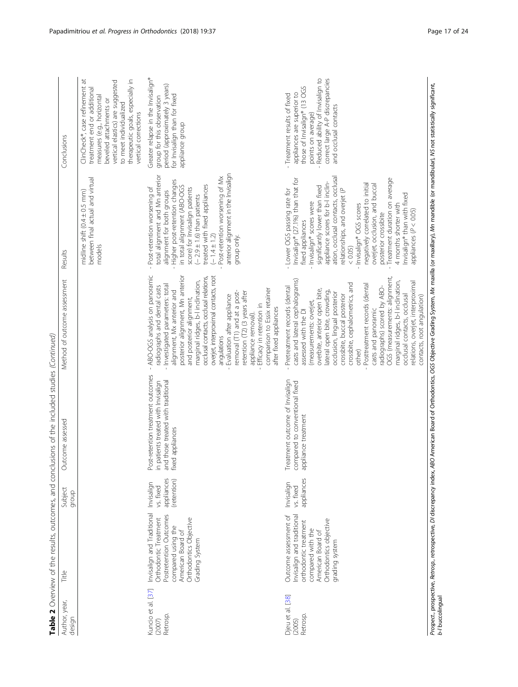|                                          |                                                                                                                                                                                 |                                        | Table 2 Overview of the results, outcomes, and conclusions of the included studies (Continued)                                     |                                                                                                                                                                                                                                                                                                                                                                                                                                                                                                                                                       |                                                                                                                                                                                                                                                                                                                                                                                 |                                                                                                                                                                                                                                                 |
|------------------------------------------|---------------------------------------------------------------------------------------------------------------------------------------------------------------------------------|----------------------------------------|------------------------------------------------------------------------------------------------------------------------------------|-------------------------------------------------------------------------------------------------------------------------------------------------------------------------------------------------------------------------------------------------------------------------------------------------------------------------------------------------------------------------------------------------------------------------------------------------------------------------------------------------------------------------------------------------------|---------------------------------------------------------------------------------------------------------------------------------------------------------------------------------------------------------------------------------------------------------------------------------------------------------------------------------------------------------------------------------|-------------------------------------------------------------------------------------------------------------------------------------------------------------------------------------------------------------------------------------------------|
| Author, year,<br>design                  | Title                                                                                                                                                                           | Subject<br>dionb                       | Outcome assessed                                                                                                                   | Method of outcome assessment                                                                                                                                                                                                                                                                                                                                                                                                                                                                                                                          | Results                                                                                                                                                                                                                                                                                                                                                                         | Conclusions                                                                                                                                                                                                                                     |
|                                          |                                                                                                                                                                                 |                                        |                                                                                                                                    |                                                                                                                                                                                                                                                                                                                                                                                                                                                                                                                                                       | between final actual and virtual<br>midline shift $(0.4 \pm 0.5 \text{ mm})$<br>models                                                                                                                                                                                                                                                                                          | therapeutic goals, especially in<br>ClinCheck®, case refinement at<br>vertical elastics) are suggested<br>treatment end or additional<br>measures (e.g., horizontal<br>beveled attachments or<br>to meet individualized<br>vertical corrections |
| Kuncio et al. [37]<br>Retrosp.<br>(2007) | Invisalign and Traditional Invisalign<br>Postretention Outcomes<br>Orthodontic Treatment<br>Orthodontics Objective<br>compared using the<br>American Board of<br>Grading System | vs. fixed<br>appliances<br>(retention) | Post-retention treatment outcomes<br>and those treated with traditional<br>in patients treated with Invisalign<br>fixed appliances | - ABO-OGS analysis on panoramic<br>posterior alignment, Mn anterior<br>overjet, interproximal contacts, root<br>occlusal contacts, occlusal relations,<br>marginal ridges, b-I inclination,<br>Investigated parameters: total<br>radiographs and dental casts<br>comparison to Essix retainer<br>alignment, Mx anterior and<br>removal (T1) and at a post-<br>retention $(72)$ (3 years after<br>Evaluation after appliance<br>and posterior alignment,<br>- Efficacy in retention in<br>after fixed appliances<br>appliance removal).<br>angulations | anterior alignment in the Invisalign<br>total alignment and Mn anterior<br>Post-retention worsening of Mx<br>Higher post-retention changes<br>treated with fixed appliances<br>in total alignment (ABO-OGS<br>- Post-retention worsening of<br>score) for Invisalign patients<br>alignment for both groups<br>$(-2.9 \pm 1.6)$ than patients<br>$(-1.4 \pm 1.2)$<br>group only. | Greater relapse in the Invisalign®<br>period (approximately 3 years)<br>or Invisalign than for fixed<br>group for this observation<br>appliance group                                                                                           |

Djeu et al. [\[38](#page-23-0)] (2005) Retrosp.

Djeu et al. [38]

Outcome assessment of Invisalign and traditional orthodontic treatment compared with the American Board of Orthodontics objective grading system

Invisalign and traditional Outcome assessment of

orthodontic treatment compared with the American Board of grading system

Orthodontics objective

Invisalign vs. fixed appliances

Treatment outcome of Invisalign compared to conventional fixed

Treatment outcome of Invisalign compared to conventional fixed

- Pretreatment records (dental casts and lateral cephalograms) assessed with the DI (measurements: overjet, overbite, anterior open bite, lateral open bite, crowding, occlusion, lingual posterior crossbite, buccal posterior crossbite, cephalometrics, and

- Pretreatment records (dental

casts and lateral cephalograms)

- Lower OGS passing rate for Invisalign® (27.1%) than that for

- Lower OGS passing rate for

Invisalign® (27.1%) than that for

- Treatment results of fixed appliances are superior to those of Invisalign® (13 OGS points on average) - Reduced ability of Invisalign to correct large A-P discrepancies and occlusal contacts

those of Invisalign® (13 OGS

appliances are superior to Treatment results of fixed

Reduced ability of Invisalign to correct large A-P discrepancies

points on average)

and occlusal contacts

fixed appliances - Invisalign® scores were significantly lower than fixed appliance scores for b-l inclination, occlusal contacts, occlusal relationships, and overjet (P

fixed appliances

significantly lower than fixed

overbite, anterior open bite, lateral open bite, crowding, occlusion, lingual posterior crossbite, buccal posterior

(measurements: overjet, assessed with the DI

Invisalign® scores were

appliance treatment

appliance treatment

other)

< 0.05)

crossbite, cephalometrics, and Posttreatment records (dental

- Invisalign® OGS scores negatively correlated to initial overjet, occlusion, and buccal posterior crossibite - Treatment duration on average 4 months shorter with Invisalign® than with fixed appliances (P < 0.05)

- Invisalign® OGS scores

negatively correlated to initial

overjet, occlusion, and buccal

posterior crossibite

Treatment duration on average

OGS (measurements: alignment,

radiographs) scored by ABO-

casts and panoramic

marginal ridges, b-I inclination,

occlusal contacts, occlusal

relations, overjet, interproximal<br>contacts, root angulation)

Invisalign® than with fixed

4 months shorter with appliances ( $P$  < 0.05)

- Posttreatment records (dental casts and panoramic radiographs) scored by ABO-OGS (measurements: alignment, marginal ridges, b-l inclination, occlusal contacts, occlusal relations, overjet, interproximal contacts, root angulation)

| ţ                   |
|---------------------|
| J                   |
| J<br>í<br>ı         |
|                     |
| j<br>ί              |
| ١                   |
| ֡֡֡֡֡֡֡֡֡<br>י<br>j |
|                     |
| l                   |
|                     |
| l                   |
|                     |
| Ï                   |
| ļ                   |
| Ï                   |
|                     |
|                     |
| ١                   |
|                     |
|                     |
|                     |
| Ï                   |
| I<br>į<br>١         |
| í                   |
| l<br>j              |
| I                   |
| l<br>i<br>l         |
| Į<br>Ξ<br>í         |
| i                   |
| l                   |
| ١<br>l              |
| l                   |
|                     |
| ١<br>j<br>١         |
| l                   |
| l                   |
|                     |
|                     |
|                     |
|                     |
|                     |
|                     |
| ¢<br>)              |
| I                   |
|                     |
| ic<br>j             |
|                     |

Prospect, prospective, Retrosp., retrospective, DI discrepancy index, ABO American Board of Orthodontics, OGS Objective Grading System, Mx maxilla (or mandible (or mandibular), NS not statistically significant, Prospect, prospective, Retrosp., retrospective, DI discrepancy index, ABO American Board of Orthodontics, OGS Objective Grading System, Mx maxilla (or mandible (or mandibular), NS not statistically significant, b-/ buccolingual b-l buccolingual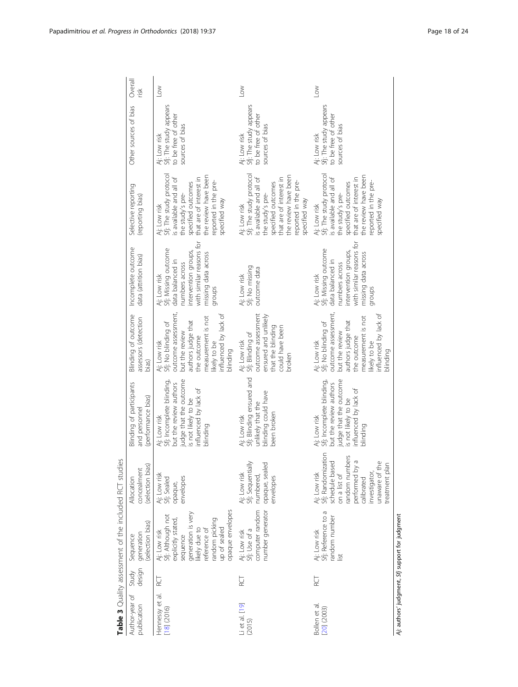<span id="page-17-0"></span>

| Author-year of<br>publication      | design<br>Study | generation<br>(selection bias)<br>Sequence                                                                                                                                       | (selection bias)<br>concealment<br>Allocation                                                                                                                            | <b>Blinding of participants</b><br>(performance bias)<br>and personnel                                                                                   | Blinding of outcome<br>assessors (detection<br>bias)                                                                                                                                         | Incomplete outcome<br>data (attrition bias)                                                                                                                     | Selective reporting<br>(reporting bias)                                                                                                                                                                           | Other sources of bias                                                            | Overall<br>risk |
|------------------------------------|-----------------|----------------------------------------------------------------------------------------------------------------------------------------------------------------------------------|--------------------------------------------------------------------------------------------------------------------------------------------------------------------------|----------------------------------------------------------------------------------------------------------------------------------------------------------|----------------------------------------------------------------------------------------------------------------------------------------------------------------------------------------------|-----------------------------------------------------------------------------------------------------------------------------------------------------------------|-------------------------------------------------------------------------------------------------------------------------------------------------------------------------------------------------------------------|----------------------------------------------------------------------------------|-----------------|
| Hennessy et al.<br>$[18]$ $(2016)$ | RCT             | opaque envelopes<br>generation is very<br>likely due to<br>reference of<br>Aj: Low risk<br>Sfj: Although not<br>explicitly stated,<br>random picking<br>up of sealed<br>sequence | Aj: Low risk<br>Sfj: Sealed<br>envelopes<br>opaque,                                                                                                                      | judge that the outcome<br>Sf; Incomplete blinding,<br>but the review authors<br>influenced by lack of<br>is not likely to be<br>Aj: Low risk<br>blinding | outcome assessment,<br>nfluenced by lack of<br>measurement is not<br>authors judge that<br>Sfj: No blinding of<br>but the review<br>the outcome<br>Aj: Low risk<br>likely to be<br>blinding  | with similar reasons for<br>Sfj: Missing outcome<br>intervention groups,<br>missing data across<br>data balanced in<br>numbers across<br>Aj: Low risk<br>groups | Sfj: The study protocol<br>the review have been<br>that are of interest in<br>is available and all of<br>specified outcomes<br>reported in the pre-<br>the study's pre-<br>specified way<br>Aj: Low risk          | Sfj: The study appears<br>to be free of other<br>sources of bias<br>Ai: Low risk | $\geq$          |
| Li et al. [19]<br>(2015)           | Б               | computer random<br>number generator<br>Aj: Low risk<br>Sfj: Use of a                                                                                                             | Aj: Low risk<br>Sfj: Sequentially<br>opaque, sealec<br>numbered,<br>envelopes                                                                                            | Sfj: Blinding ensured and<br>blinding could have<br>unlikely that the<br>been broken<br>Aj: Low risk                                                     | outcome assessment<br>ensured and unlikely<br>that the blinding<br>could have been<br>Sfj: Blinding of<br>Aj: Low risk<br>broken                                                             | Aj: Low risk<br>Sfj: No missing<br>outcome data                                                                                                                 | Aj: Low risk<br>Sfj: The study protocol<br>the review have been<br>that are of interest in<br>is available and all of<br>reported in the pre-<br>specified outcomes<br>the study's pre-<br>specified way          | Aj: Low risk<br>Sfj: The study appears<br>to be free of other<br>sources of bias | $\geq$          |
| Bollen et al.<br>[20] (2003)       | ă               | Aj: Low risk<br>Sfj: Reference to a<br>random number<br>list                                                                                                                     | Aj: Low risk<br>Sfj: Randomization<br>schedule based<br>random numbers<br>unaware of the<br>treatment plan<br>performed by<br>nvestigator,<br>on a list of<br>calibrated | udge that the outcome<br>Sfj: Incomplete blinding,<br>but the review authors<br>influenced by lack of<br>is not likely to be<br>Aj: Low risk<br>blinding | outcome assessment,<br>influenced by lack of<br>measurement is not<br>Sfj: No blinding of<br>authors judge that<br>but the review<br>the outcome<br>Aj: Low risk<br>likely to be<br>blinding | with similar reasons for<br>Sfj: Missing outcome<br>intervention groups,<br>missing data across<br>data balanced in<br>numbers across<br>Aj: Low risk<br>groups | Sfj: The study protocol<br>the review have been<br>that are of interest in<br>$\varphi$<br>specified outcomes<br>eported in the pre-<br>is available and all<br>the study's pre-<br>specified way<br>Aj: Low risk | Aj: Low risk<br>Sfj: The study appears<br>to be free of other<br>sources of bias | $\geq$          |

**Table 3** Quality assessment of the included RCT studies

Aj: authors' judgment, Sfj support for judgment Aj: authors' judgment, Sfj support for judgment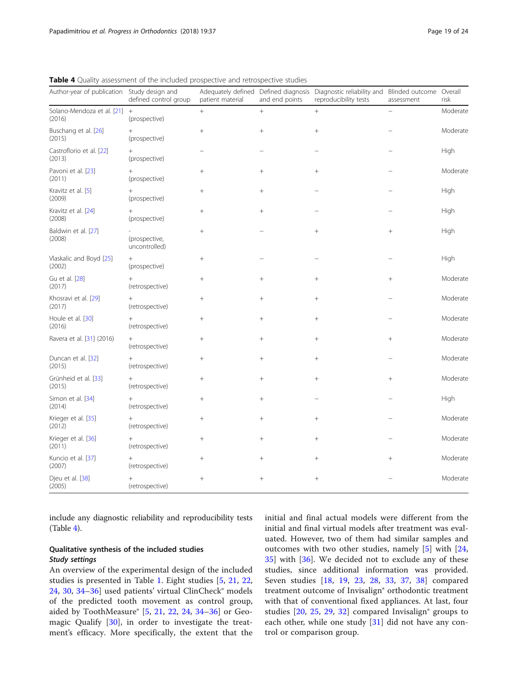| Author-year of publication Study design and | defined control group          | patient material | and end points   | Adequately defined Defined diagnosis Diagnostic reliability and Blinded outcome Overall<br>reproducibility tests | assessment               | risk     |
|---------------------------------------------|--------------------------------|------------------|------------------|------------------------------------------------------------------------------------------------------------------|--------------------------|----------|
| Solano-Mendoza et al. [21] +<br>(2016)      | (prospective)                  | $^{+}$           | $\boldsymbol{+}$ | $^{+}$                                                                                                           | $\overline{\phantom{0}}$ | Moderate |
| Buschang et al. [26]<br>(2015)              | (prospective)                  | $+$              | $^{+}$           | $\! + \!$                                                                                                        |                          | Moderate |
| Castroflorio et al. [22]<br>(2013)          | (prospective)                  |                  |                  |                                                                                                                  |                          | High     |
| Pavoni et al. [23]<br>(2011)                | (prospective)                  | $^{+}$           | $^{+}$           | $^{+}$                                                                                                           |                          | Moderate |
| Kravitz et al. [5]<br>(2009)                | (prospective)                  | $^{+}$           | $^{+}$           |                                                                                                                  |                          | High     |
| Kravitz et al. [24]<br>(2008)               | (prospective)                  | $^{+}$           | $^{+}$           |                                                                                                                  |                          | High     |
| Baldwin et al. [27]<br>(2008)               | (prospective,<br>uncontrolled) | $^{+}$           |                  | $\boldsymbol{+}$                                                                                                 | $\! +$                   | High     |
| Vlaskalic and Boyd [25]<br>(2002)           | $^{+}$<br>(prospective)        | $^{+}$           |                  |                                                                                                                  |                          | High     |
| Gu et al. [28]<br>(2017)                    | (retrospective)                | $\! + \!\!\!\!$  | $^{+}$           | $^{+}$                                                                                                           | $^{+}$                   | Moderate |
| Khosravi et al. [29]<br>(2017)              | (retrospective)                |                  | $^{+}$           | $^{+}$                                                                                                           |                          | Moderate |
| Houle et al. [30]<br>(2016)                 | (retrospective)                | $^{+}$           | $\boldsymbol{+}$ | $\! + \!$                                                                                                        |                          | Moderate |
| Ravera et al. [31] (2016)                   | $^{+}$<br>(retrospective)      | $^{+}$           | $^{+}$           | $\! + \!\!\!\!$                                                                                                  | $^{+}$                   | Moderate |
| Duncan et al. [32]<br>(2015)                | (retrospective)                | $^{+}$           | $^{+}$           | $+$                                                                                                              |                          | Moderate |
| Grünheid et al. [33]<br>(2015)              | (retrospective)                | $^{+}$           | $^{+}$           | $^{+}$                                                                                                           | $^{+}$                   | Moderate |
| Simon et al. [34]<br>(2014)                 | (retrospective)                | $+$              | $^{+}$           |                                                                                                                  |                          | High     |
| Krieger et al. [35]<br>(2012)               | (retrospective)                | $^{+}$           | $^{+}$           | $+$                                                                                                              |                          | Moderate |
| Krieger et al. [36]<br>(2011)               | (retrospective)                | $^{+}$           | $^{+}$           | $^{+}$                                                                                                           |                          | Moderate |
| Kuncio et al. [37]<br>(2007)                | (retrospective)                | $^{+}$           | $^{+}$           | $\! + \!\!\!\!$                                                                                                  | $^{+}$                   | Moderate |
| Djeu et al. [38]<br>(2005)                  | $^{+}$<br>(retrospective)      | $^{+}$           | $^{+}$           | $^{+}$                                                                                                           |                          | Moderate |

<span id="page-18-0"></span>Table 4 Quality assessment of the included prospective and retrospective studies

include any diagnostic reliability and reproducibility tests (Table 4).

## Qualitative synthesis of the included studies Study settings

An overview of the experimental design of the included studies is presented in Table [1](#page-4-0). Eight studies [[5](#page-22-0), [21,](#page-22-0) [22](#page-22-0), [24,](#page-22-0) [30](#page-23-0), [34](#page-23-0)-[36\]](#page-23-0) used patients' virtual ClinCheck® models of the predicted tooth movement as control group, aided by ToothMeasure® [[5,](#page-22-0) [21,](#page-22-0) [22](#page-22-0), [24,](#page-22-0) [34](#page-23-0)–[36\]](#page-23-0) or Geomagic Qualify [\[30](#page-23-0)], in order to investigate the treatment's efficacy. More specifically, the extent that the initial and final actual models were different from the initial and final virtual models after treatment was evaluated. However, two of them had similar samples and outcomes with two other studies, namely [[5\]](#page-22-0) with [\[24](#page-22-0), [35\]](#page-23-0) with [\[36](#page-23-0)]. We decided not to exclude any of these studies, since additional information was provided. Seven studies [[18](#page-22-0), [19,](#page-22-0) [23,](#page-22-0) [28](#page-23-0), [33](#page-23-0), [37,](#page-23-0) [38\]](#page-23-0) compared treatment outcome of Invisalign® orthodontic treatment with that of conventional fixed appliances. At last, four studies [[20,](#page-22-0) [25,](#page-23-0) [29,](#page-23-0) [32\]](#page-23-0) compared Invisalign® groups to each other, while one study [[31](#page-23-0)] did not have any control or comparison group.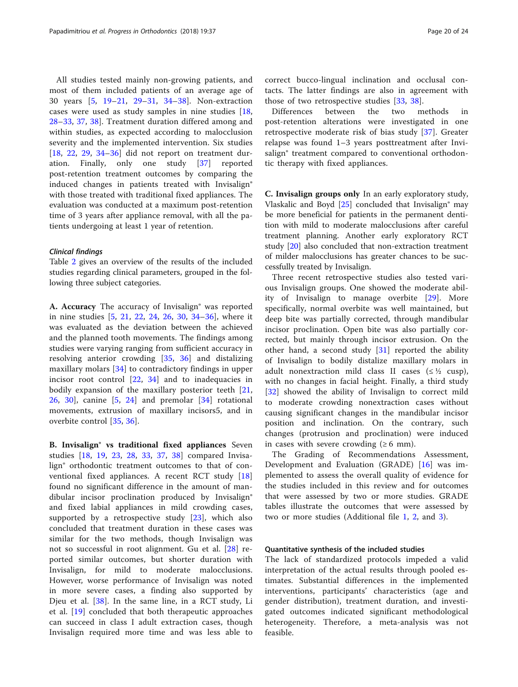All studies tested mainly non-growing patients, and most of them included patients of an average age of 30 years [[5,](#page-22-0) [19](#page-22-0)–[21,](#page-22-0) [29](#page-23-0)–[31](#page-23-0), [34](#page-23-0)–[38](#page-23-0)]. Non-extraction cases were used as study samples in nine studies [\[18](#page-22-0), [28](#page-23-0)–[33,](#page-23-0) [37](#page-23-0), [38\]](#page-23-0). Treatment duration differed among and within studies, as expected according to malocclusion severity and the implemented intervention. Six studies [[18,](#page-22-0) [22,](#page-22-0) [29,](#page-23-0) [34](#page-23-0)–[36\]](#page-23-0) did not report on treatment duration. Finally, only one study [[37\]](#page-23-0) reported post-retention treatment outcomes by comparing the induced changes in patients treated with Invisalign® with those treated with traditional fixed appliances. The evaluation was conducted at a maximum post-retention time of 3 years after appliance removal, with all the patients undergoing at least 1 year of retention.

#### Clinical findings

Table [2](#page-10-0) gives an overview of the results of the included studies regarding clinical parameters, grouped in the following three subject categories.

A. Accuracy The accuracy of Invisalign® was reported in nine studies [\[5](#page-22-0), [21,](#page-22-0) [22,](#page-22-0) [24](#page-22-0), [26](#page-23-0), [30,](#page-23-0) [34](#page-23-0)–[36](#page-23-0)], where it was evaluated as the deviation between the achieved and the planned tooth movements. The findings among studies were varying ranging from sufficient accuracy in resolving anterior crowding [\[35](#page-23-0), [36](#page-23-0)] and distalizing maxillary molars [[34\]](#page-23-0) to contradictory findings in upper incisor root control [\[22](#page-22-0), [34](#page-23-0)] and to inadequacies in bodily expansion of the maxillary posterior teeth [\[21](#page-22-0), [26,](#page-23-0) [30\]](#page-23-0), canine [[5,](#page-22-0) [24\]](#page-22-0) and premolar [\[34](#page-23-0)] rotational movements, extrusion of maxillary incisors5, and in overbite control [[35,](#page-23-0) [36\]](#page-23-0).

B. Invisalign<sup>®</sup> vs traditional fixed appliances Seven studies [[18,](#page-22-0) [19](#page-22-0), [23,](#page-22-0) [28,](#page-23-0) [33](#page-23-0), [37](#page-23-0), [38\]](#page-23-0) compared Invisalign® orthodontic treatment outcomes to that of conventional fixed appliances. A recent RCT study [\[18](#page-22-0)] found no significant difference in the amount of mandibular incisor proclination produced by Invisalign® and fixed labial appliances in mild crowding cases, supported by a retrospective study  $[23]$  $[23]$ , which also concluded that treatment duration in these cases was similar for the two methods, though Invisalign was not so successful in root alignment. Gu et al. [\[28](#page-23-0)] reported similar outcomes, but shorter duration with Invisalign, for mild to moderate malocclusions. However, worse performance of Invisalign was noted in more severe cases, a finding also supported by Djeu et al. [[38](#page-23-0)]. In the same line, in a RCT study, Li et al. [[19](#page-22-0)] concluded that both therapeutic approaches can succeed in class I adult extraction cases, though Invisalign required more time and was less able to correct bucco-lingual inclination and occlusal contacts. The latter findings are also in agreement with those of two retrospective studies [[33,](#page-23-0) [38](#page-23-0)].

Differences between the two methods in post-retention alterations were investigated in one retrospective moderate risk of bias study [[37\]](#page-23-0). Greater relapse was found 1–3 years posttreatment after Invisalign<sup>®</sup> treatment compared to conventional orthodontic therapy with fixed appliances.

C. Invisalign groups only In an early exploratory study, Vlaskalic and Boyd  $[25]$  concluded that Invisalign® may be more beneficial for patients in the permanent dentition with mild to moderate malocclusions after careful treatment planning. Another early exploratory RCT study [\[20](#page-22-0)] also concluded that non-extraction treatment of milder malocclusions has greater chances to be successfully treated by Invisalign.

Three recent retrospective studies also tested various Invisalign groups. One showed the moderate ability of Invisalign to manage overbite [[29\]](#page-23-0). More specifically, normal overbite was well maintained, but deep bite was partially corrected, through mandibular incisor proclination. Open bite was also partially corrected, but mainly through incisor extrusion. On the other hand, a second study [\[31](#page-23-0)] reported the ability of Invisalign to bodily distalize maxillary molars in adult nonextraction mild class II cases ( $\leq$  ½ cusp), with no changes in facial height. Finally, a third study [[32](#page-23-0)] showed the ability of Invisalign to correct mild to moderate crowding nonextraction cases without causing significant changes in the mandibular incisor position and inclination. On the contrary, such changes (protrusion and proclination) were induced in cases with severe crowding  $(≥ 6 mm)$ .

The Grading of Recommendations Assessment, Development and Evaluation (GRADE) [[16\]](#page-22-0) was implemented to assess the overall quality of evidence for the studies included in this review and for outcomes that were assessed by two or more studies. GRADE tables illustrate the outcomes that were assessed by two or more studies (Additional file [1](#page-22-0), [2](#page-22-0), and [3\)](#page-22-0).

## Quantitative synthesis of the included studies

The lack of standardized protocols impeded a valid interpretation of the actual results through pooled estimates. Substantial differences in the implemented interventions, participants' characteristics (age and gender distribution), treatment duration, and investigated outcomes indicated significant methodological heterogeneity. Therefore, a meta-analysis was not feasible.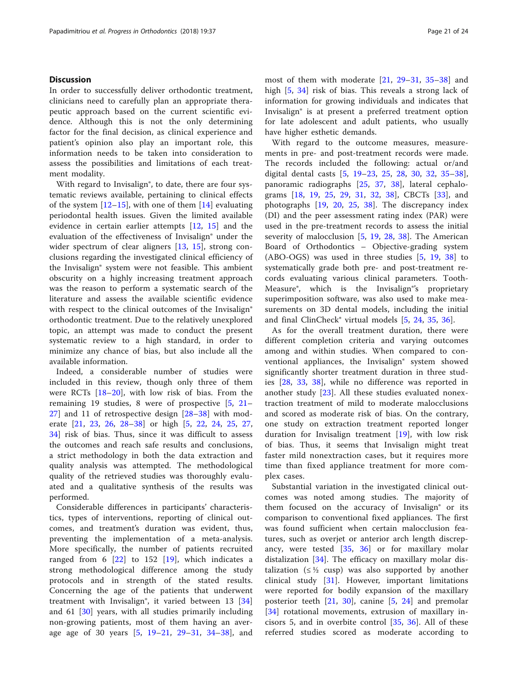## **Discussion**

In order to successfully deliver orthodontic treatment, clinicians need to carefully plan an appropriate therapeutic approach based on the current scientific evidence. Although this is not the only determining factor for the final decision, as clinical experience and patient's opinion also play an important role, this information needs to be taken into consideration to assess the possibilities and limitations of each treatment modality.

With regard to Invisalign®, to date, there are four systematic reviews available, pertaining to clinical effects of the system  $[12–15]$  $[12–15]$  $[12–15]$  $[12–15]$ , with one of them  $[14]$  $[14]$  evaluating periodontal health issues. Given the limited available evidence in certain earlier attempts [\[12](#page-22-0), [15\]](#page-22-0) and the evaluation of the effectiveness of Invisalign® under the wider spectrum of clear aligners [\[13](#page-22-0), [15](#page-22-0)], strong conclusions regarding the investigated clinical efficiency of the Invisalign® system were not feasible. This ambient obscurity on a highly increasing treatment approach was the reason to perform a systematic search of the literature and assess the available scientific evidence with respect to the clinical outcomes of the Invisalign<sup>®</sup> orthodontic treatment. Due to the relatively unexplored topic, an attempt was made to conduct the present systematic review to a high standard, in order to minimize any chance of bias, but also include all the available information.

Indeed, a considerable number of studies were included in this review, though only three of them were RCTs [[18](#page-22-0)–[20\]](#page-22-0), with low risk of bias. From the remaining 19 studies, 8 were of prospective [[5,](#page-22-0) [21](#page-22-0)– [27\]](#page-23-0) and 11 of retrospective design [\[28](#page-23-0)–[38](#page-23-0)] with moderate [[21,](#page-22-0) [23](#page-22-0), [26,](#page-23-0) [28](#page-23-0)–[38](#page-23-0)] or high [[5,](#page-22-0) [22](#page-22-0), [24](#page-22-0), [25,](#page-23-0) [27](#page-23-0), [34\]](#page-23-0) risk of bias. Thus, since it was difficult to assess the outcomes and reach safe results and conclusions, a strict methodology in both the data extraction and quality analysis was attempted. The methodological quality of the retrieved studies was thoroughly evaluated and a qualitative synthesis of the results was performed.

Considerable differences in participants' characteristics, types of interventions, reporting of clinical outcomes, and treatment's duration was evident, thus, preventing the implementation of a meta-analysis. More specifically, the number of patients recruited ranged from  $6$   $[22]$  $[22]$  $[22]$  to  $152$   $[19]$  $[19]$ , which indicates a strong methodological difference among the study protocols and in strength of the stated results. Concerning the age of the patients that underwent treatment with Invisalign®, it varied between 13 [\[34](#page-23-0)] and 61 [[30\]](#page-23-0) years, with all studies primarily including non-growing patients, most of them having an average age of 30 years [\[5](#page-22-0), [19](#page-22-0)–[21,](#page-22-0) [29](#page-23-0)–[31,](#page-23-0) [34](#page-23-0)–[38\]](#page-23-0), and

most of them with moderate [\[21](#page-22-0), [29](#page-23-0)–[31](#page-23-0), [35](#page-23-0)–[38](#page-23-0)] and high [[5,](#page-22-0) [34\]](#page-23-0) risk of bias. This reveals a strong lack of information for growing individuals and indicates that Invisalign® is at present a preferred treatment option for late adolescent and adult patients, who usually have higher esthetic demands.

With regard to the outcome measures, measurements in pre- and post-treatment records were made. The records included the following: actual or/and digital dental casts [[5,](#page-22-0) [19](#page-22-0)–[23](#page-22-0), [25](#page-23-0), [28](#page-23-0), [30](#page-23-0), [32](#page-23-0), [35](#page-23-0)–[38](#page-23-0)], panoramic radiographs [\[25](#page-23-0), [37](#page-23-0), [38\]](#page-23-0), lateral cephalograms [\[18](#page-22-0), [19,](#page-22-0) [25,](#page-23-0) [29](#page-23-0), [31,](#page-23-0) [32](#page-23-0), [38\]](#page-23-0), CBCTs [[33\]](#page-23-0), and photographs [\[19](#page-22-0), [20](#page-22-0), [25,](#page-23-0) [38\]](#page-23-0). The discrepancy index (DI) and the peer assessment rating index (PAR) were used in the pre-treatment records to assess the initial severity of malocclusion [[5,](#page-22-0) [19,](#page-22-0) [28,](#page-23-0) [38](#page-23-0)]. The American Board of Orthodontics – Objective-grading system (ABO-OGS) was used in three studies [\[5](#page-22-0), [19,](#page-22-0) [38\]](#page-23-0) to systematically grade both pre- and post-treatment records evaluating various clinical parameters. Tooth-Measure®, which is the Invisalign®'s proprietary superimposition software, was also used to make measurements on 3D dental models, including the initial and final ClinCheck<sup>®</sup> virtual models [\[5](#page-22-0), [24,](#page-22-0) [35,](#page-23-0) [36\]](#page-23-0).

As for the overall treatment duration, there were different completion criteria and varying outcomes among and within studies. When compared to conventional appliances, the Invisalign® system showed significantly shorter treatment duration in three studies [\[28](#page-23-0), [33,](#page-23-0) [38](#page-23-0)], while no difference was reported in another study [[23\]](#page-22-0). All these studies evaluated nonextraction treatment of mild to moderate malocclusions and scored as moderate risk of bias. On the contrary, one study on extraction treatment reported longer duration for Invisalign treatment  $[19]$  $[19]$ , with low risk of bias. Thus, it seems that Invisalign might treat faster mild nonextraction cases, but it requires more time than fixed appliance treatment for more complex cases.

Substantial variation in the investigated clinical outcomes was noted among studies. The majority of them focused on the accuracy of Invisalign® or its comparison to conventional fixed appliances. The first was found sufficient when certain malocclusion features, such as overjet or anterior arch length discrepancy, were tested [[35,](#page-23-0) [36\]](#page-23-0) or for maxillary molar distalization [\[34](#page-23-0)]. The efficacy on maxillary molar distalization ( $\leq \frac{1}{2}$  cusp) was also supported by another clinical study [\[31](#page-23-0)]. However, important limitations were reported for bodily expansion of the maxillary posterior teeth [\[21,](#page-22-0) [30\]](#page-23-0), canine [[5,](#page-22-0) [24](#page-22-0)] and premolar [[34](#page-23-0)] rotational movements, extrusion of maxillary incisors 5, and in overbite control [[35,](#page-23-0) [36](#page-23-0)]. All of these referred studies scored as moderate according to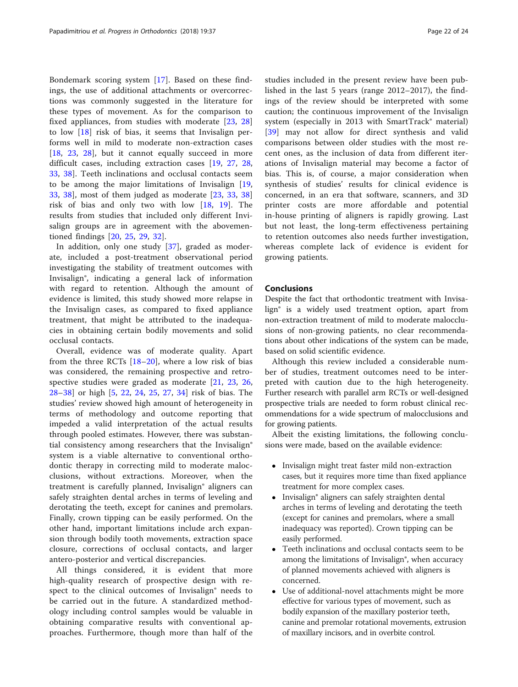Bondemark scoring system [\[17](#page-22-0)]. Based on these findings, the use of additional attachments or overcorrections was commonly suggested in the literature for these types of movement. As for the comparison to fixed appliances, from studies with moderate [[23](#page-22-0), [28](#page-23-0)] to low [[18\]](#page-22-0) risk of bias, it seems that Invisalign performs well in mild to moderate non-extraction cases [[18,](#page-22-0) [23,](#page-22-0) [28\]](#page-23-0), but it cannot equally succeed in more difficult cases, including extraction cases [[19,](#page-22-0) [27](#page-23-0), [28](#page-23-0), [33,](#page-23-0) [38](#page-23-0)]. Teeth inclinations and occlusal contacts seem to be among the major limitations of Invisalign [\[19](#page-22-0), [33,](#page-23-0) [38\]](#page-23-0), most of them judged as moderate [[23](#page-22-0), [33](#page-23-0), [38](#page-23-0)] risk of bias and only two with low [[18](#page-22-0), [19](#page-22-0)]. The results from studies that included only different Invisalign groups are in agreement with the abovementioned findings [\[20](#page-22-0), [25,](#page-23-0) [29,](#page-23-0) [32\]](#page-23-0).

In addition, only one study [\[37](#page-23-0)], graded as moderate, included a post-treatment observational period investigating the stability of treatment outcomes with Invisalign®, indicating a general lack of information with regard to retention. Although the amount of evidence is limited, this study showed more relapse in the Invisalign cases, as compared to fixed appliance treatment, that might be attributed to the inadequacies in obtaining certain bodily movements and solid occlusal contacts.

Overall, evidence was of moderate quality. Apart from the three RCTs  $[18–20]$  $[18–20]$  $[18–20]$  $[18–20]$ , where a low risk of bias was considered, the remaining prospective and retrospective studies were graded as moderate [[21,](#page-22-0) [23,](#page-22-0) [26](#page-23-0), [28](#page-23-0)–[38\]](#page-23-0) or high [[5,](#page-22-0) [22](#page-22-0), [24](#page-22-0), [25](#page-23-0), [27](#page-23-0), [34](#page-23-0)] risk of bias. The studies' review showed high amount of heterogeneity in terms of methodology and outcome reporting that impeded a valid interpretation of the actual results through pooled estimates. However, there was substantial consistency among researchers that the Invisalign® system is a viable alternative to conventional orthodontic therapy in correcting mild to moderate malocclusions, without extractions. Moreover, when the treatment is carefully planned, Invisalign® aligners can safely straighten dental arches in terms of leveling and derotating the teeth, except for canines and premolars. Finally, crown tipping can be easily performed. On the other hand, important limitations include arch expansion through bodily tooth movements, extraction space closure, corrections of occlusal contacts, and larger antero-posterior and vertical discrepancies.

All things considered, it is evident that more high-quality research of prospective design with respect to the clinical outcomes of Invisalign® needs to be carried out in the future. A standardized methodology including control samples would be valuable in obtaining comparative results with conventional approaches. Furthermore, though more than half of the studies included in the present review have been published in the last 5 years (range 2012–2017), the findings of the review should be interpreted with some caution; the continuous improvement of the Invisalign system (especially in 2013 with SmartTrack® material) [[39\]](#page-23-0) may not allow for direct synthesis and valid comparisons between older studies with the most recent ones, as the inclusion of data from different iterations of Invisalign material may become a factor of bias. This is, of course, a major consideration when synthesis of studies' results for clinical evidence is concerned, in an era that software, scanners, and 3D printer costs are more affordable and potential in-house printing of aligners is rapidly growing. Last but not least, the long-term effectiveness pertaining to retention outcomes also needs further investigation, whereas complete lack of evidence is evident for growing patients.

## Conclusions

Despite the fact that orthodontic treatment with Invisalign® is a widely used treatment option, apart from non-extraction treatment of mild to moderate malocclusions of non-growing patients, no clear recommendations about other indications of the system can be made, based on solid scientific evidence.

Although this review included a considerable number of studies, treatment outcomes need to be interpreted with caution due to the high heterogeneity. Further research with parallel arm RCTs or well-designed prospective trials are needed to form robust clinical recommendations for a wide spectrum of malocclusions and for growing patients.

Albeit the existing limitations, the following conclusions were made, based on the available evidence:

- Invisalign might treat faster mild non-extraction cases, but it requires more time than fixed appliance treatment for more complex cases.
- Invisalign® aligners can safely straighten dental arches in terms of leveling and derotating the teeth (except for canines and premolars, where a small inadequacy was reported). Crown tipping can be easily performed.
- Teeth inclinations and occlusal contacts seem to be among the limitations of Invisalign®, when accuracy of planned movements achieved with aligners is concerned.
- Use of additional-novel attachments might be more effective for various types of movement, such as bodily expansion of the maxillary posterior teeth, canine and premolar rotational movements, extrusion of maxillary incisors, and in overbite control.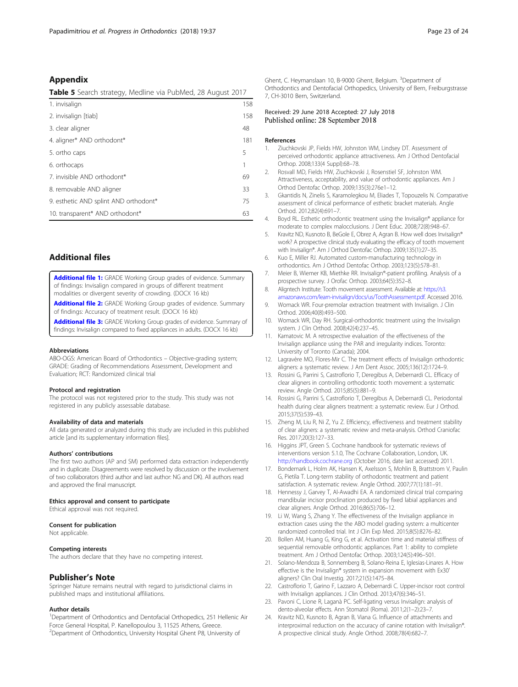## <span id="page-22-0"></span>Appendix

#### Table 5 Search strategy, Medline via PubMed, 28 August 2017

| 1. invisalign                         | 158 |
|---------------------------------------|-----|
| 2. invisalign [tiab]                  | 158 |
| 3. clear aligner                      | 48  |
| 4. aligner* AND orthodont*            | 181 |
| 5. ortho caps                         | 5   |
| 6. orthocaps                          |     |
| 7. invisible AND orthodont*           | 69  |
| 8. removable AND aligner              | 33  |
| 9. esthetic AND splint AND orthodont* | 75  |
| 10. transparent* AND orthodont*       | 63  |

## Additional files

[Additional file 1:](https://doi.org/10.1186/s40510-018-0235-z) GRADE Working Group grades of evidence. Summary of findings: Invisalign compared in groups of different treatment modalities or divergent severity of crowding. (DOCX 16 kb)

[Additional file 2:](https://doi.org/10.1186/s40510-018-0235-z) GRADE Working Group grades of evidence. Summary of findings: Accuracy of treatment result. (DOCX 16 kb)

[Additional file 3:](https://doi.org/10.1186/s40510-018-0235-z) GRADE Working Group grades of evidence. Summary of findings: Invisalign compared to fixed appliances in adults. (DOCX 16 kb)

#### Abbreviations

ABO-OGS: American Board of Orthodontics – Objective-grading system; GRADE: Grading of Recommendations Assessment, Development and Evaluation; RCT: Randomized clinical trial

#### Protocol and registration

The protocol was not registered prior to the study. This study was not registered in any publicly assessable database.

#### Availability of data and materials

All data generated or analyzed during this study are included in this published article [and its supplementary information files].

#### Authors' contributions

The first two authors (AP and SM) performed data extraction independently and in duplicate. Disagreements were resolved by discussion or the involvement of two collaborators (third author and last author: NG and DK). All authors read and approved the final manuscript.

#### Ethics approval and consent to participate

Ethical approval was not required.

## Consent for publication

Not applicable.

## Competing interests

The authors declare that they have no competing interest.

## Publisher's Note

Springer Nature remains neutral with regard to jurisdictional claims in published maps and institutional affiliations.

#### Author details

<sup>1</sup>Department of Orthodontics and Dentofacial Orthopedics, 251 Hellenic Air Force General Hospital, P. Kanellopoulou 3, 11525 Athens, Greece. <sup>2</sup> Department of Orthodontics, University Hospital Ghent P8, University of

#### Received: 29 June 2018 Accepted: 27 July 2018 Published online: 28 September 2018

#### References

- 1. Ziuchkovski JP, Fields HW, Johnston WM, Lindsey DT. Assessment of perceived orthodontic appliance attractiveness. Am J Orthod Dentofacial Orthop. 2008;133(4 Suppl):68–78.
- 2. Rosvall MD, Fields HW, Ziuchkovski J, Rosenstiel SF, Johnston WM. Attractiveness, acceptability, and value of orthodontic appliances. Am J Orthod Dentofac Orthop. 2009;135(3):276e1–12.
- 3. Gkantidis N, Zinelis S, Karamolegkou M, Eliades T, Topouzelis N. Comparative assessment of clinical performance of esthetic bracket materials. Angle Orthod. 2012;82(4):691–7.
- 4. Boyd RL. Esthetic orthodontic treatment using the Invisalign® appliance for moderate to complex malocclusions. J Dent Educ. 2008;72(8):948–67.
- 5. Kravitz ND, Kusnoto B, BeGole E, Obrez A, Agran B. How well does Invisalign® work? A prospective clinical study evaluating the efficacy of tooth movement with Invisalign®. Am J Orthod Dentofac Orthop. 2009;135(1):27–35.
- 6. Kuo E, Miller RJ. Automated custom-manufacturing technology in orthodontics. Am J Orthod Dentofac Orthop. 2003;123(5):578–81.
- 7. Meier B, Wiemer KB, Miethke RR. Invisalign®-patient profiling. Analysis of a prospective survey. J Orofac Orthop. 2003;64(5):352–8.
- 8. Aligntech Institute: Tooth movement assessment. Available at: [https://s3.](https://s3.amazonaws.com/learn-invisalign/docs/us/ToothAssessment.pdf) [amazonaws.com/learn-invisalign/docs/us/ToothAssessment.pdf](https://s3.amazonaws.com/learn-invisalign/docs/us/ToothAssessment.pdf). Accessed 2016.
- 9. Womack WR. Four-premolar extraction treatment with Invisalign. J Clin Orthod. 2006;40(8):493–500.
- 10. Womack WR, Day RH. Surgical-orthodontic treatment using the Invisalign system. J Clin Orthod. 2008;42(4):237–45.
- 11. Kamatovic M. A retrospective evaluation of the effectiveness of the Invisalign appliance using the PAR and irregularity indices. Toronto: University of Toronto (Canada); 2004.
- 12. Lagravère MO, Flores-Mir C. The treatment effects of Invisalign orthodontic aligners: a systematic review. J Am Dent Assoc. 2005;136(12):1724–9.
- 13. Rossini G, Parrini S, Castroflorio T, Deregibus A, Debernardi CL. Efficacy of clear aligners in controlling orthodontic tooth movement: a systematic review. Angle Orthod. 2015;85(5):881–9.
- 14. Rossini G, Parrini S, Castroflorio T, Deregibus A, Debernardi CL. Periodontal health during clear aligners treatment: a systematic review. Eur J Orthod. 2015;37(5):539–43.
- 15. Zheng M, Liu R, Ni Z, Yu Z. Efficiency, effectiveness and treatment stability of clear aligners: a systematic review and meta-analysis. Orthod Craniofac Res. 2017;20(3):127–33.
- 16. Higgins JPT, Green S. Cochrane handbook for systematic reviews of interventions version 5.1.0, The Cochrane Collaboration, London, UK. <http://handbook.cochrane.org> (October 2016, date last accessed) 2011.
- 17. Bondemark L, Holm AK, Hansen K, Axelsson S, Mohlin B, Brattstrom V, Paulin G, Pietila T. Long-term stability of orthodontic treatment and patient satisfaction. A systematic review. Angle Orthod. 2007;77(1):181–91.
- 18. Hennessy J, Garvey T, Al-Awadhi EA. A randomized clinical trial comparing mandibular incisor proclination produced by fixed labial appliances and clear aligners. Angle Orthod. 2016;86(5):706–12.
- 19. Li W, Wang S, Zhang Y. The effectiveness of the Invisalign appliance in extraction cases using the the ABO model grading system: a multicenter randomized controlled trial. Int J Clin Exp Med. 2015;8(5):8276–82.
- 20. Bollen AM, Huang G, King G, et al. Activation time and material stiffness of sequential removable orthodontic appliances. Part 1: ability to complete treatment. Am J Orthod Dentofac Orthop. 2003;124(5):496–501.
- 21. Solano-Mendoza B, Sonnemberg B, Solano-Reina E, Iglesias-Linares A. How effective is the Invisalign® system in expansion movement with Ex30' aligners? Clin Oral Investig. 2017;21(5):1475–84.
- 22. Castroflorio T, Garino F, Lazzaro A, Debernardi C. Upper-incisor root control with Invisalign appliances. J Clin Orthod. 2013;47(6):346–51.
- 23. Pavoni C, Lione R, Laganà PC. Self-ligating versus Invisalign: analysis of dento-alveolar effects. Ann Stomatol (Roma). 2011;2(1–2):23–7.
- 24. Kravitz ND, Kusnoto B, Agran B, Viana G. Influence of attachments and interproximal reduction on the accuracy of canine rotation with Invisalign®. A prospective clinical study. Angle Orthod. 2008;78(4):682–7.